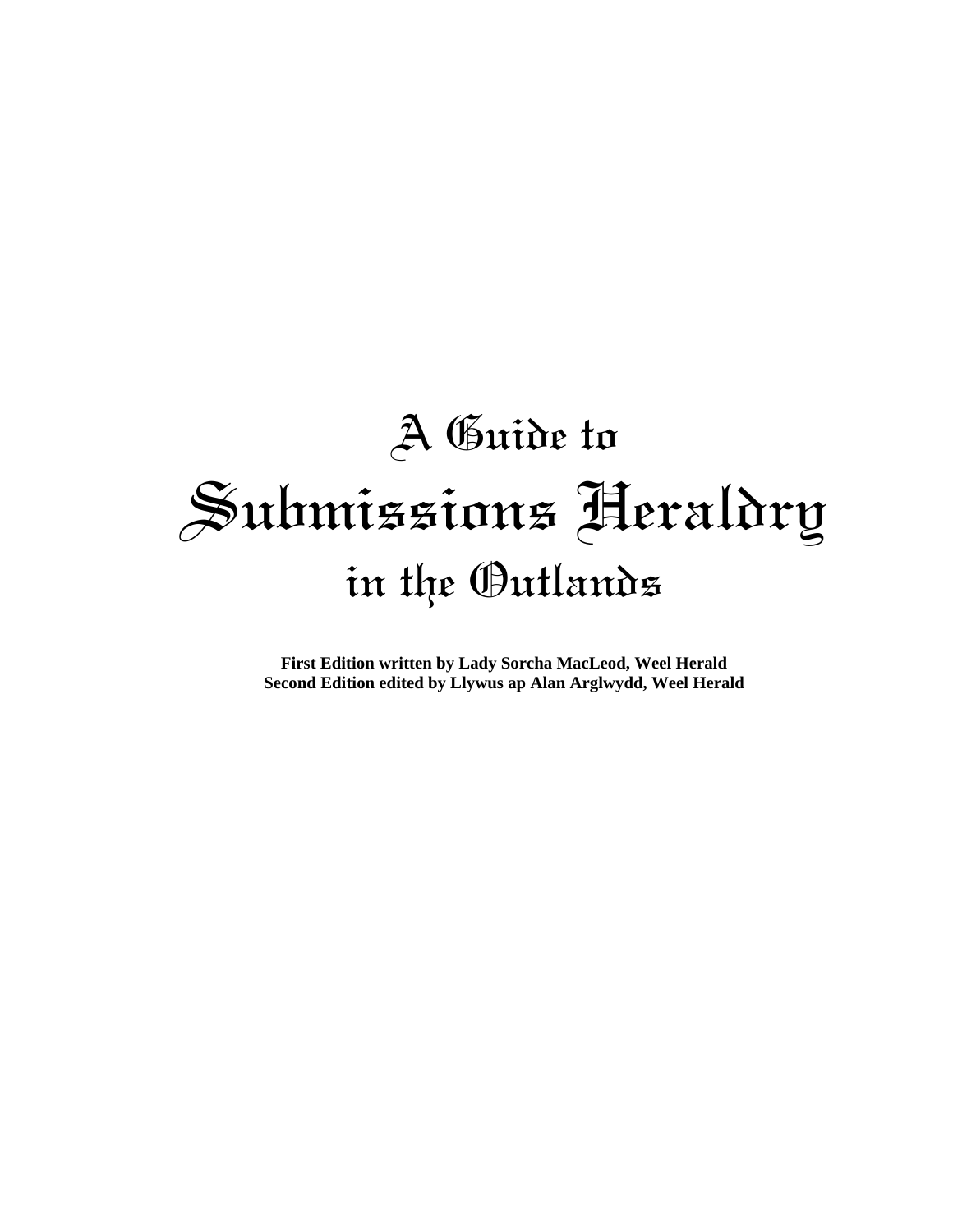# A Guide to Submissions Heraldry in the Outlands

**First Edition written by Lady Sorcha MacLeod, Weel Herald Second Edition edited by Llywus ap Alan Arglwydd, Weel Herald**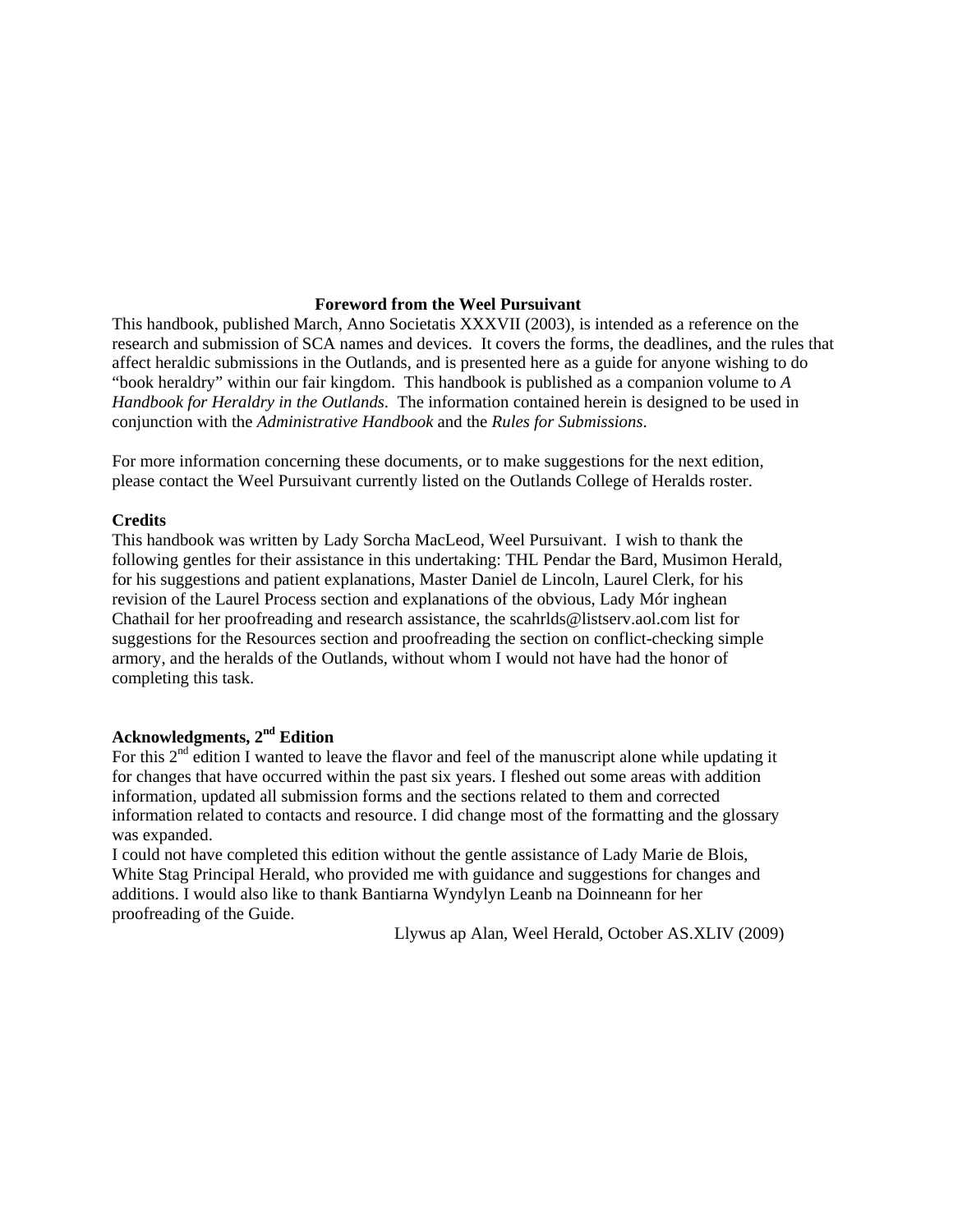#### **Foreword from the Weel Pursuivant**

This handbook, published March, Anno Societatis XXXVII (2003), is intended as a reference on the research and submission of SCA names and devices. It covers the forms, the deadlines, and the rules that affect heraldic submissions in the Outlands, and is presented here as a guide for anyone wishing to do "book heraldry" within our fair kingdom. This handbook is published as a companion volume to *A Handbook for Heraldry in the Outlands*. The information contained herein is designed to be used in conjunction with the *Administrative Handbook* and the *Rules for Submissions*.

For more information concerning these documents, or to make suggestions for the next edition, please contact the Weel Pursuivant currently listed on the Outlands College of Heralds roster.

#### **Credits**

This handbook was written by Lady Sorcha MacLeod, Weel Pursuivant. I wish to thank the following gentles for their assistance in this undertaking: THL Pendar the Bard, Musimon Herald, for his suggestions and patient explanations, Master Daniel de Lincoln, Laurel Clerk, for his revision of the Laurel Process section and explanations of the obvious, Lady Mór inghean Chathail for her proofreading and research assistance, the scahrlds@listserv.aol.com list for suggestions for the Resources section and proofreading the section on conflict-checking simple armory, and the heralds of the Outlands, without whom I would not have had the honor of completing this task.

#### **Acknowledgments, 2nd Edition**

For this  $2<sup>nd</sup>$  edition I wanted to leave the flavor and feel of the manuscript alone while updating it for changes that have occurred within the past six years. I fleshed out some areas with addition information, updated all submission forms and the sections related to them and corrected information related to contacts and resource. I did change most of the formatting and the glossary was expanded.

I could not have completed this edition without the gentle assistance of Lady Marie de Blois, White Stag Principal Herald, who provided me with guidance and suggestions for changes and additions. I would also like to thank Bantiarna Wyndylyn Leanb na Doinneann for her proofreading of the Guide.

Llywus ap Alan, Weel Herald, October AS.XLIV (2009)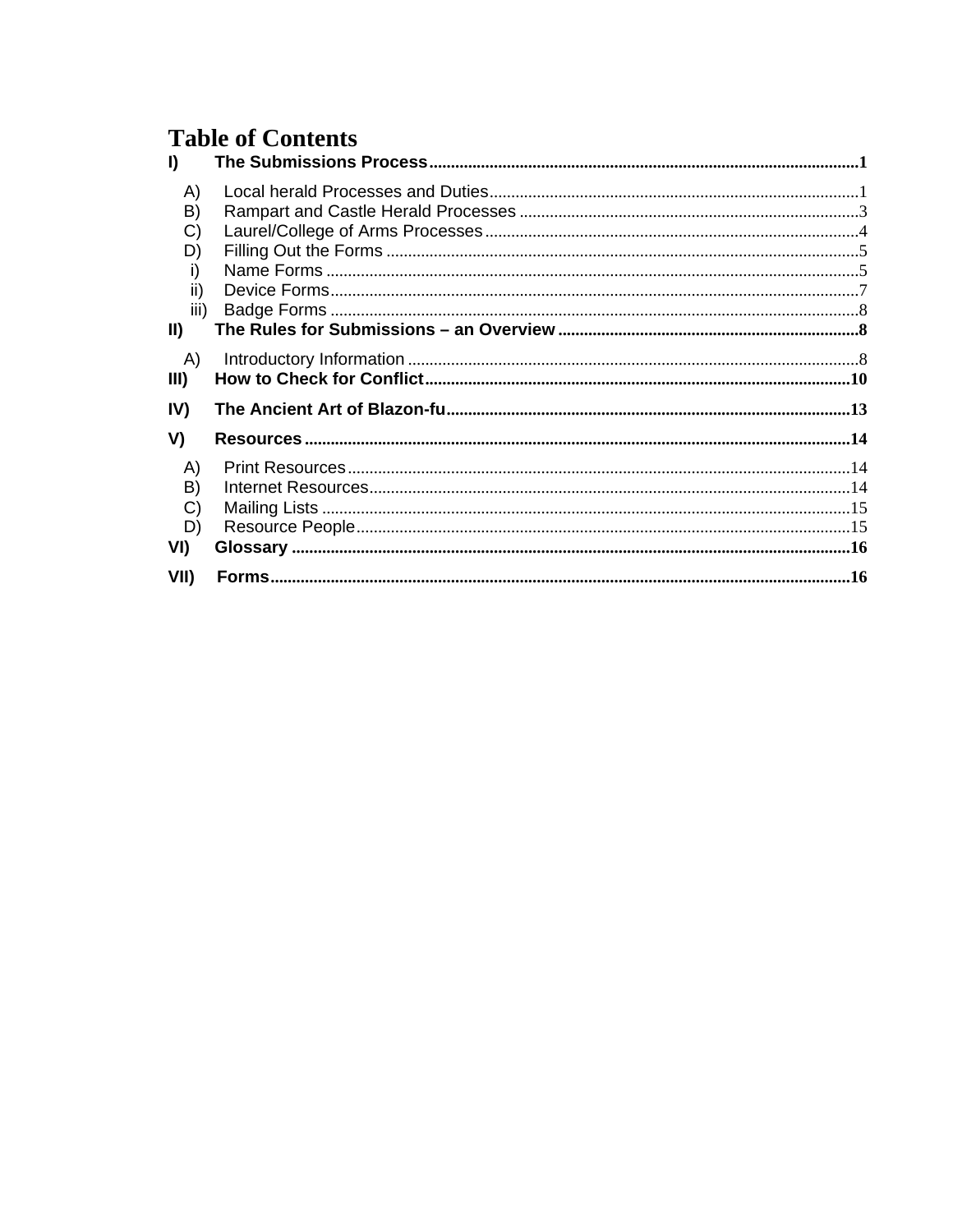# **Table of Contents**

| $\mathbf{I}$                                               |  |
|------------------------------------------------------------|--|
| A)<br>B)<br>C)<br>D)<br>i)<br>ii)<br>iii)<br>$\mathbf{II}$ |  |
| A)<br>III)                                                 |  |
| IV)                                                        |  |
| V)                                                         |  |
| A)<br>B)<br>C)<br>D)<br>VI)                                |  |
| VII)                                                       |  |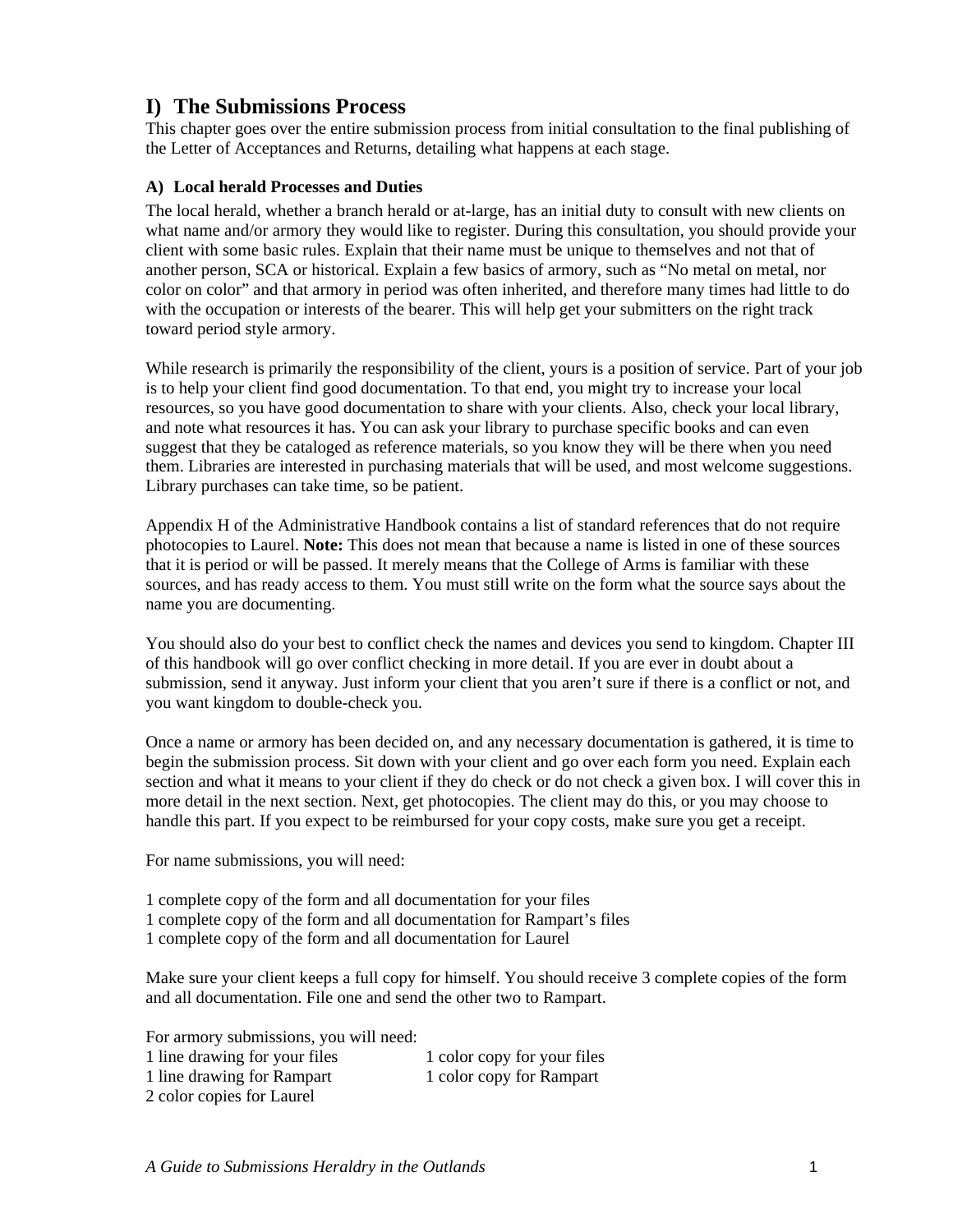# <span id="page-4-0"></span>**I) The Submissions Process**

This chapter goes over the entire submission process from initial consultation to the final publishing of the Letter of Acceptances and Returns, detailing what happens at each stage.

#### **A) Local herald Processes and Duties**

The local herald, whether a branch herald or at-large, has an initial duty to consult with new clients on what name and/or armory they would like to register. During this consultation, you should provide your client with some basic rules. Explain that their name must be unique to themselves and not that of another person, SCA or historical. Explain a few basics of armory, such as "No metal on metal, nor color on color" and that armory in period was often inherited, and therefore many times had little to do with the occupation or interests of the bearer. This will help get your submitters on the right track toward period style armory.

While research is primarily the responsibility of the client, yours is a position of service. Part of your job is to help your client find good documentation. To that end, you might try to increase your local resources, so you have good documentation to share with your clients. Also, check your local library, and note what resources it has. You can ask your library to purchase specific books and can even suggest that they be cataloged as reference materials, so you know they will be there when you need them. Libraries are interested in purchasing materials that will be used, and most welcome suggestions. Library purchases can take time, so be patient.

Appendix H of the Administrative Handbook contains a list of standard references that do not require photocopies to Laurel. **Note:** This does not mean that because a name is listed in one of these sources that it is period or will be passed. It merely means that the College of Arms is familiar with these sources, and has ready access to them. You must still write on the form what the source says about the name you are documenting.

You should also do your best to conflict check the names and devices you send to kingdom. Chapter III of this handbook will go over conflict checking in more detail. If you are ever in doubt about a submission, send it anyway. Just inform your client that you aren't sure if there is a conflict or not, and you want kingdom to double-check you.

Once a name or armory has been decided on, and any necessary documentation is gathered, it is time to begin the submission process. Sit down with your client and go over each form you need. Explain each section and what it means to your client if they do check or do not check a given box. I will cover this in more detail in the next section. Next, get photocopies. The client may do this, or you may choose to handle this part. If you expect to be reimbursed for your copy costs, make sure you get a receipt.

For name submissions, you will need:

- 1 complete copy of the form and all documentation for your files
- 1 complete copy of the form and all documentation for Rampart's files
- 1 complete copy of the form and all documentation for Laurel

Make sure your client keeps a full copy for himself. You should receive 3 complete copies of the form and all documentation. File one and send the other two to Rampart.

For armory submissions, you will need:

| 1 line drawing for your files | 1 color copy for your files |
|-------------------------------|-----------------------------|
| 1 line drawing for Rampart    | 1 color copy for Rampart    |
| 2 color copies for Laurel     |                             |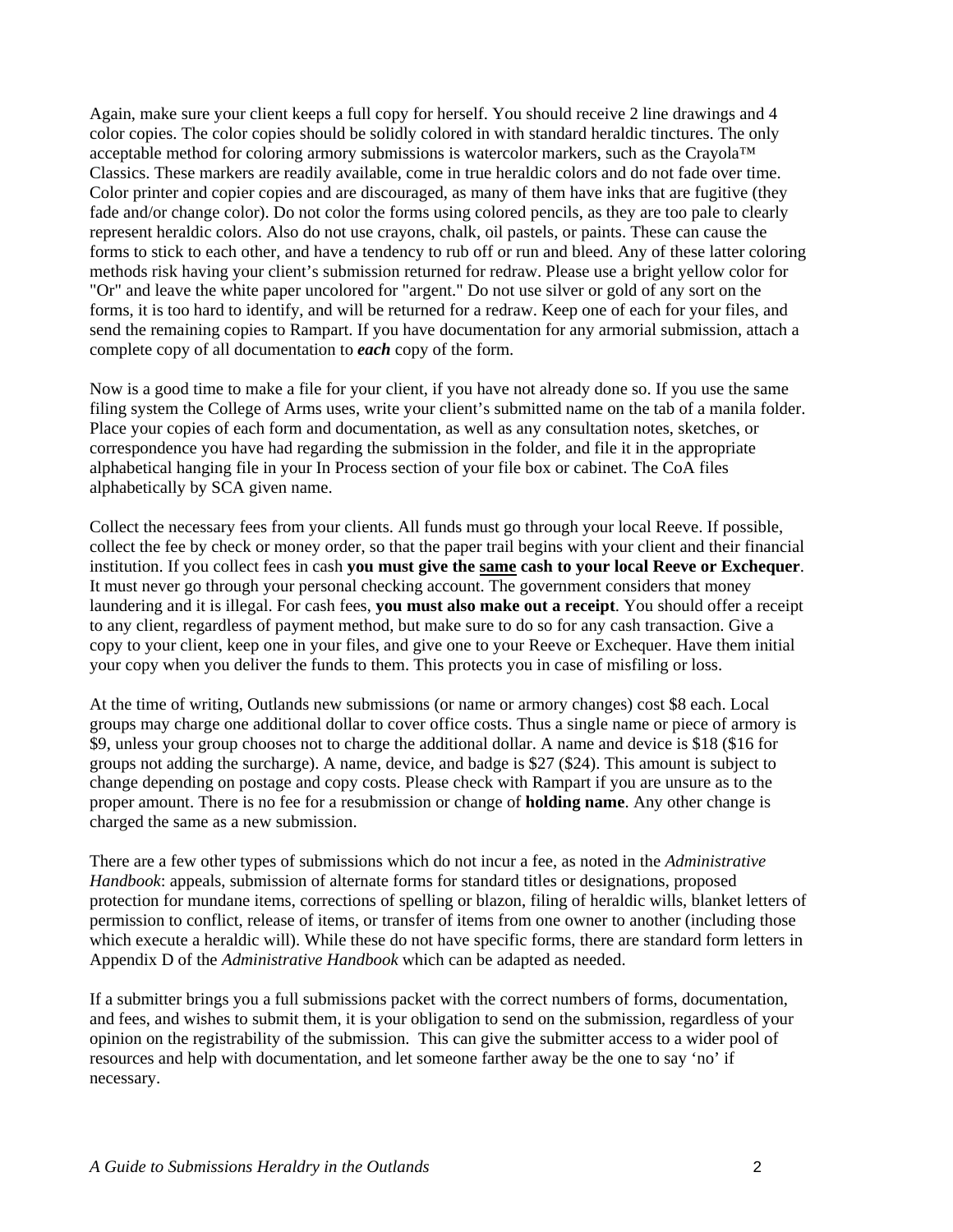Again, make sure your client keeps a full copy for herself. You should receive 2 line drawings and 4 color copies. The color copies should be solidly colored in with standard heraldic tinctures. The only acceptable method for coloring armory submissions is watercolor markers, such as the Crayola™ Classics. These markers are readily available, come in true heraldic colors and do not fade over time. Color printer and copier copies and are discouraged, as many of them have inks that are fugitive (they fade and/or change color). Do not color the forms using colored pencils, as they are too pale to clearly represent heraldic colors. Also do not use crayons, chalk, oil pastels, or paints. These can cause the forms to stick to each other, and have a tendency to rub off or run and bleed. Any of these latter coloring methods risk having your client's submission returned for redraw. Please use a bright yellow color for "Or" and leave the white paper uncolored for "argent." Do not use silver or gold of any sort on the forms, it is too hard to identify, and will be returned for a redraw. Keep one of each for your files, and send the remaining copies to Rampart. If you have documentation for any armorial submission, attach a complete copy of all documentation to *each* copy of the form.

Now is a good time to make a file for your client, if you have not already done so. If you use the same filing system the College of Arms uses, write your client's submitted name on the tab of a manila folder. Place your copies of each form and documentation, as well as any consultation notes, sketches, or correspondence you have had regarding the submission in the folder, and file it in the appropriate alphabetical hanging file in your In Process section of your file box or cabinet. The CoA files alphabetically by SCA given name.

Collect the necessary fees from your clients. All funds must go through your local Reeve. If possible, collect the fee by check or money order, so that the paper trail begins with your client and their financial institution. If you collect fees in cash **you must give the same cash to your local Reeve or Exchequer**. It must never go through your personal checking account. The government considers that money laundering and it is illegal. For cash fees, **you must also make out a receipt**. You should offer a receipt to any client, regardless of payment method, but make sure to do so for any cash transaction. Give a copy to your client, keep one in your files, and give one to your Reeve or Exchequer. Have them initial your copy when you deliver the funds to them. This protects you in case of misfiling or loss.

At the time of writing, Outlands new submissions (or name or armory changes) cost \$8 each. Local groups may charge one additional dollar to cover office costs. Thus a single name or piece of armory is \$9, unless your group chooses not to charge the additional dollar. A name and device is \$18 (\$16 for groups not adding the surcharge). A name, device, and badge is \$27 (\$24). This amount is subject to change depending on postage and copy costs. Please check with Rampart if you are unsure as to the proper amount. There is no fee for a resubmission or change of **holding name**. Any other change is charged the same as a new submission.

There are a few other types of submissions which do not incur a fee, as noted in the *Administrative Handbook*: appeals, submission of alternate forms for standard titles or designations, proposed protection for mundane items, corrections of spelling or blazon, filing of heraldic wills, blanket letters of permission to conflict, release of items, or transfer of items from one owner to another (including those which execute a heraldic will). While these do not have specific forms, there are standard form letters in Appendix D of the *Administrative Handbook* which can be adapted as needed.

If a submitter brings you a full submissions packet with the correct numbers of forms, documentation, and fees, and wishes to submit them, it is your obligation to send on the submission, regardless of your opinion on the registrability of the submission. This can give the submitter access to a wider pool of resources and help with documentation, and let someone farther away be the one to say 'no' if necessary.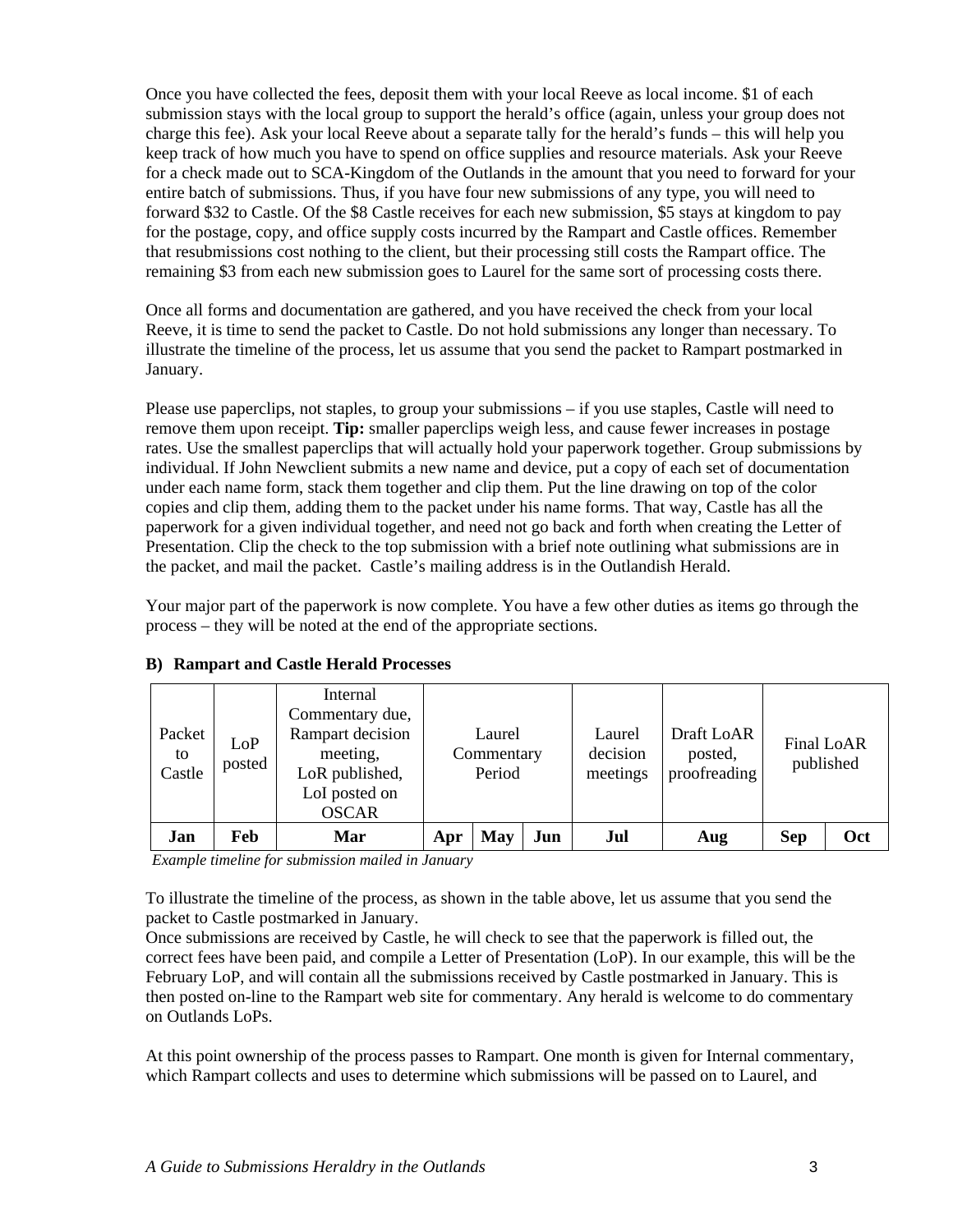<span id="page-6-0"></span>Once you have collected the fees, deposit them with your local Reeve as local income. \$1 of each submission stays with the local group to support the herald's office (again, unless your group does not charge this fee). Ask your local Reeve about a separate tally for the herald's funds – this will help you keep track of how much you have to spend on office supplies and resource materials. Ask your Reeve for a check made out to SCA-Kingdom of the Outlands in the amount that you need to forward for your entire batch of submissions. Thus, if you have four new submissions of any type, you will need to forward \$32 to Castle. Of the \$8 Castle receives for each new submission, \$5 stays at kingdom to pay for the postage, copy, and office supply costs incurred by the Rampart and Castle offices. Remember that resubmissions cost nothing to the client, but their processing still costs the Rampart office. The remaining \$3 from each new submission goes to Laurel for the same sort of processing costs there.

Once all forms and documentation are gathered, and you have received the check from your local Reeve, it is time to send the packet to Castle. Do not hold submissions any longer than necessary. To illustrate the timeline of the process, let us assume that you send the packet to Rampart postmarked in January.

Please use paperclips, not staples, to group your submissions – if you use staples, Castle will need to remove them upon receipt. **Tip:** smaller paperclips weigh less, and cause fewer increases in postage rates. Use the smallest paperclips that will actually hold your paperwork together. Group submissions by individual. If John Newclient submits a new name and device, put a copy of each set of documentation under each name form, stack them together and clip them. Put the line drawing on top of the color copies and clip them, adding them to the packet under his name forms. That way, Castle has all the paperwork for a given individual together, and need not go back and forth when creating the Letter of Presentation. Clip the check to the top submission with a brief note outlining what submissions are in the packet, and mail the packet. Castle's mailing address is in the Outlandish Herald.

Your major part of the paperwork is now complete. You have a few other duties as items go through the process – they will be noted at the end of the appropriate sections.

| Packet<br>to<br>Castle | LoP<br>posted | Internal<br>Commentary due,<br>Rampart decision<br>meeting,<br>LoR published,<br>LoI posted on<br><b>OSCAR</b> |     | Laurel<br>Commentary<br>Period |     | Laurel<br>decision<br>meetings | Draft LoAR<br>posted,<br>proofreading |            | Final LoAR<br>published |
|------------------------|---------------|----------------------------------------------------------------------------------------------------------------|-----|--------------------------------|-----|--------------------------------|---------------------------------------|------------|-------------------------|
| Jan                    | Feb           | Mar                                                                                                            | Apr | May                            | Jun | Jul                            | Aug                                   | <b>Sep</b> | Oct                     |

#### **B) Rampart and Castle Herald Processes**

*Example timeline for submission mailed in January* 

To illustrate the timeline of the process, as shown in the table above, let us assume that you send the packet to Castle postmarked in January.

Once submissions are received by Castle, he will check to see that the paperwork is filled out, the correct fees have been paid, and compile a Letter of Presentation (LoP). In our example, this will be the February LoP, and will contain all the submissions received by Castle postmarked in January. This is then posted on-line to the Rampart web site for commentary. Any herald is welcome to do commentary on Outlands LoPs.

At this point ownership of the process passes to Rampart. One month is given for Internal commentary, which Rampart collects and uses to determine which submissions will be passed on to Laurel, and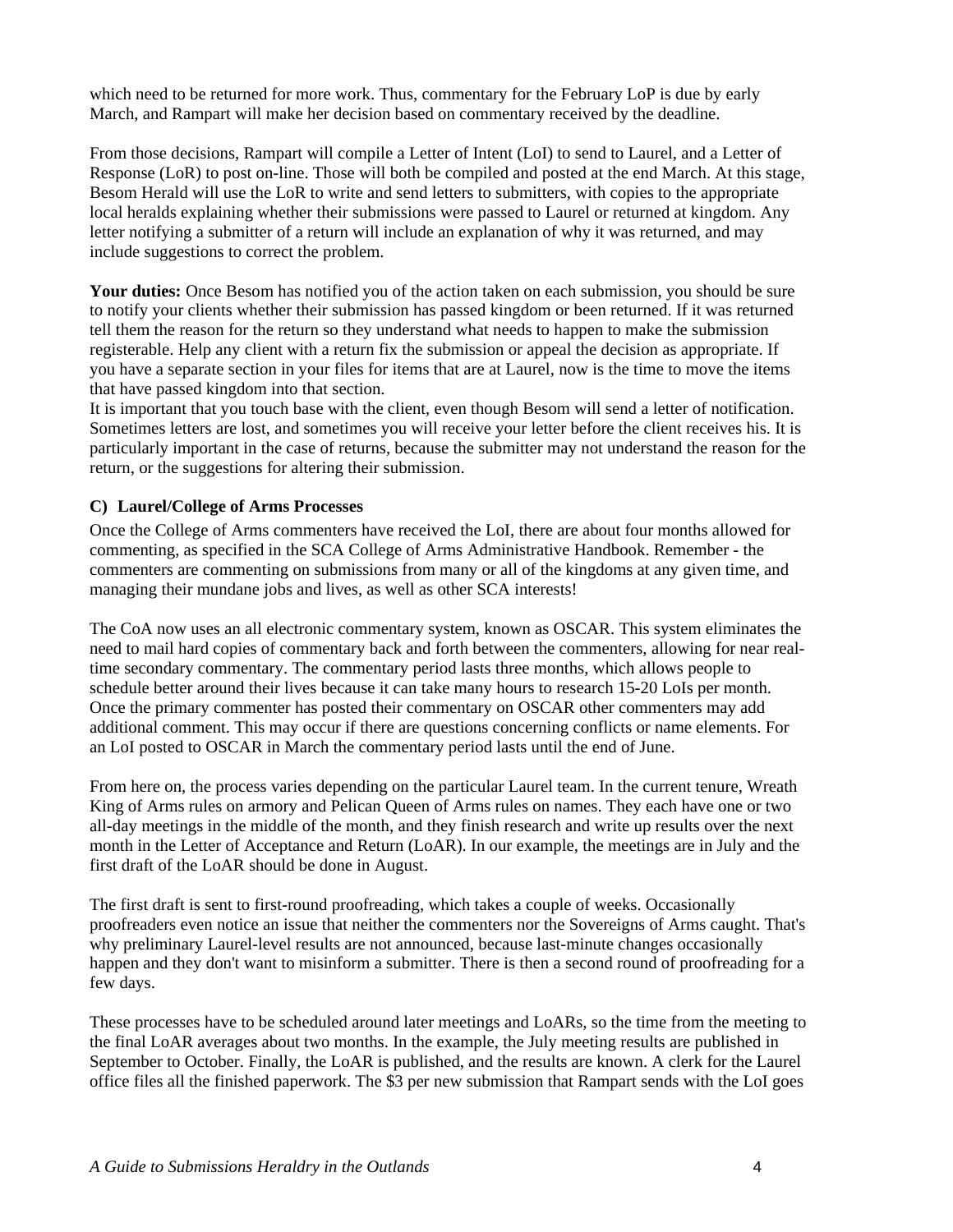<span id="page-7-0"></span>which need to be returned for more work. Thus, commentary for the February LoP is due by early March, and Rampart will make her decision based on commentary received by the deadline.

From those decisions, Rampart will compile a Letter of Intent (LoI) to send to Laurel, and a Letter of Response (LoR) to post on-line. Those will both be compiled and posted at the end March. At this stage, Besom Herald will use the LoR to write and send letters to submitters, with copies to the appropriate local heralds explaining whether their submissions were passed to Laurel or returned at kingdom. Any letter notifying a submitter of a return will include an explanation of why it was returned, and may include suggestions to correct the problem.

**Your duties:** Once Besom has notified you of the action taken on each submission, you should be sure to notify your clients whether their submission has passed kingdom or been returned. If it was returned tell them the reason for the return so they understand what needs to happen to make the submission registerable. Help any client with a return fix the submission or appeal the decision as appropriate. If you have a separate section in your files for items that are at Laurel, now is the time to move the items that have passed kingdom into that section.

It is important that you touch base with the client, even though Besom will send a letter of notification. Sometimes letters are lost, and sometimes you will receive your letter before the client receives his. It is particularly important in the case of returns, because the submitter may not understand the reason for the return, or the suggestions for altering their submission.

#### **C) Laurel/College of Arms Processes**

Once the College of Arms commenters have received the LoI, there are about four months allowed for commenting, as specified in the SCA College of Arms Administrative Handbook. Remember - the commenters are commenting on submissions from many or all of the kingdoms at any given time, and managing their mundane jobs and lives, as well as other SCA interests!

The CoA now uses an all electronic commentary system, known as OSCAR. This system eliminates the need to mail hard copies of commentary back and forth between the commenters, allowing for near realtime secondary commentary. The commentary period lasts three months, which allows people to schedule better around their lives because it can take many hours to research 15-20 LoIs per month. Once the primary commenter has posted their commentary on OSCAR other commenters may add additional comment. This may occur if there are questions concerning conflicts or name elements. For an LoI posted to OSCAR in March the commentary period lasts until the end of June.

From here on, the process varies depending on the particular Laurel team. In the current tenure, Wreath King of Arms rules on armory and Pelican Queen of Arms rules on names. They each have one or two all-day meetings in the middle of the month, and they finish research and write up results over the next month in the Letter of Acceptance and Return (LoAR). In our example, the meetings are in July and the first draft of the LoAR should be done in August.

The first draft is sent to first-round proofreading, which takes a couple of weeks. Occasionally proofreaders even notice an issue that neither the commenters nor the Sovereigns of Arms caught. That's why preliminary Laurel-level results are not announced, because last-minute changes occasionally happen and they don't want to misinform a submitter. There is then a second round of proofreading for a few days.

These processes have to be scheduled around later meetings and LoARs, so the time from the meeting to the final LoAR averages about two months. In the example, the July meeting results are published in September to October. Finally, the LoAR is published, and the results are known. A clerk for the Laurel office files all the finished paperwork. The \$3 per new submission that Rampart sends with the LoI goes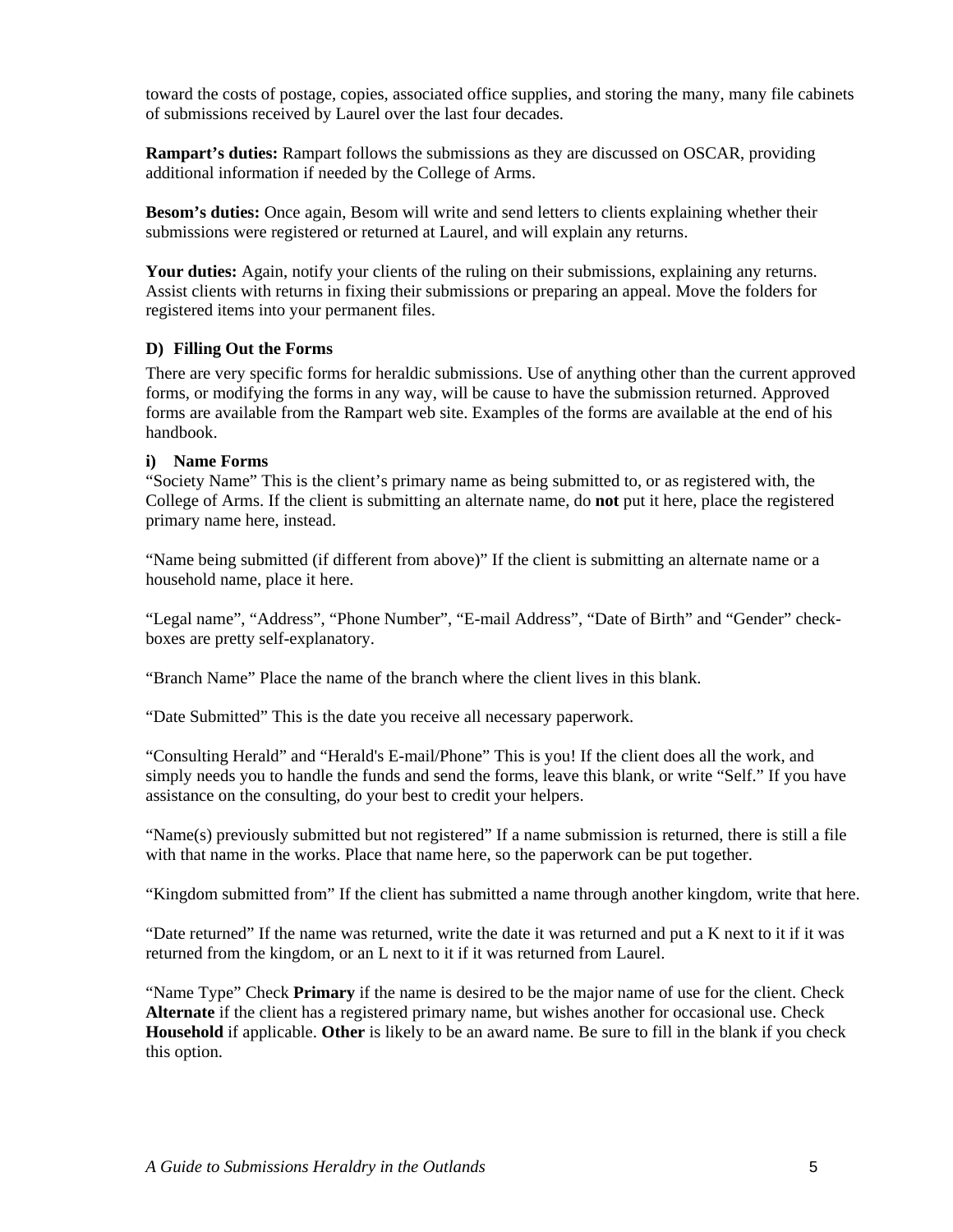<span id="page-8-0"></span>toward the costs of postage, copies, associated office supplies, and storing the many, many file cabinets of submissions received by Laurel over the last four decades.

**Rampart's duties:** Rampart follows the submissions as they are discussed on OSCAR, providing additional information if needed by the College of Arms.

**Besom's duties:** Once again, Besom will write and send letters to clients explaining whether their submissions were registered or returned at Laurel, and will explain any returns.

**Your duties:** Again, notify your clients of the ruling on their submissions, explaining any returns. Assist clients with returns in fixing their submissions or preparing an appeal. Move the folders for registered items into your permanent files.

#### **D) Filling Out the Forms**

There are very specific forms for heraldic submissions. Use of anything other than the current approved forms, or modifying the forms in any way, will be cause to have the submission returned. Approved forms are available from the Rampart web site. Examples of the forms are available at the end of his handbook.

#### **i) Name Forms**

"Society Name" This is the client's primary name as being submitted to, or as registered with, the College of Arms. If the client is submitting an alternate name, do **not** put it here, place the registered primary name here, instead.

"Name being submitted (if different from above)" If the client is submitting an alternate name or a household name, place it here.

"Legal name", "Address", "Phone Number", "E-mail Address", "Date of Birth" and "Gender" checkboxes are pretty self-explanatory.

"Branch Name" Place the name of the branch where the client lives in this blank.

"Date Submitted" This is the date you receive all necessary paperwork.

"Consulting Herald" and "Herald's E-mail/Phone" This is you! If the client does all the work, and simply needs you to handle the funds and send the forms, leave this blank, or write "Self." If you have assistance on the consulting, do your best to credit your helpers.

"Name(s) previously submitted but not registered" If a name submission is returned, there is still a file with that name in the works. Place that name here, so the paperwork can be put together.

"Kingdom submitted from" If the client has submitted a name through another kingdom, write that here.

"Date returned" If the name was returned, write the date it was returned and put a K next to it if it was returned from the kingdom, or an L next to it if it was returned from Laurel.

"Name Type" Check **Primary** if the name is desired to be the major name of use for the client. Check **Alternate** if the client has a registered primary name, but wishes another for occasional use. Check **Household** if applicable. **Other** is likely to be an award name. Be sure to fill in the blank if you check this option.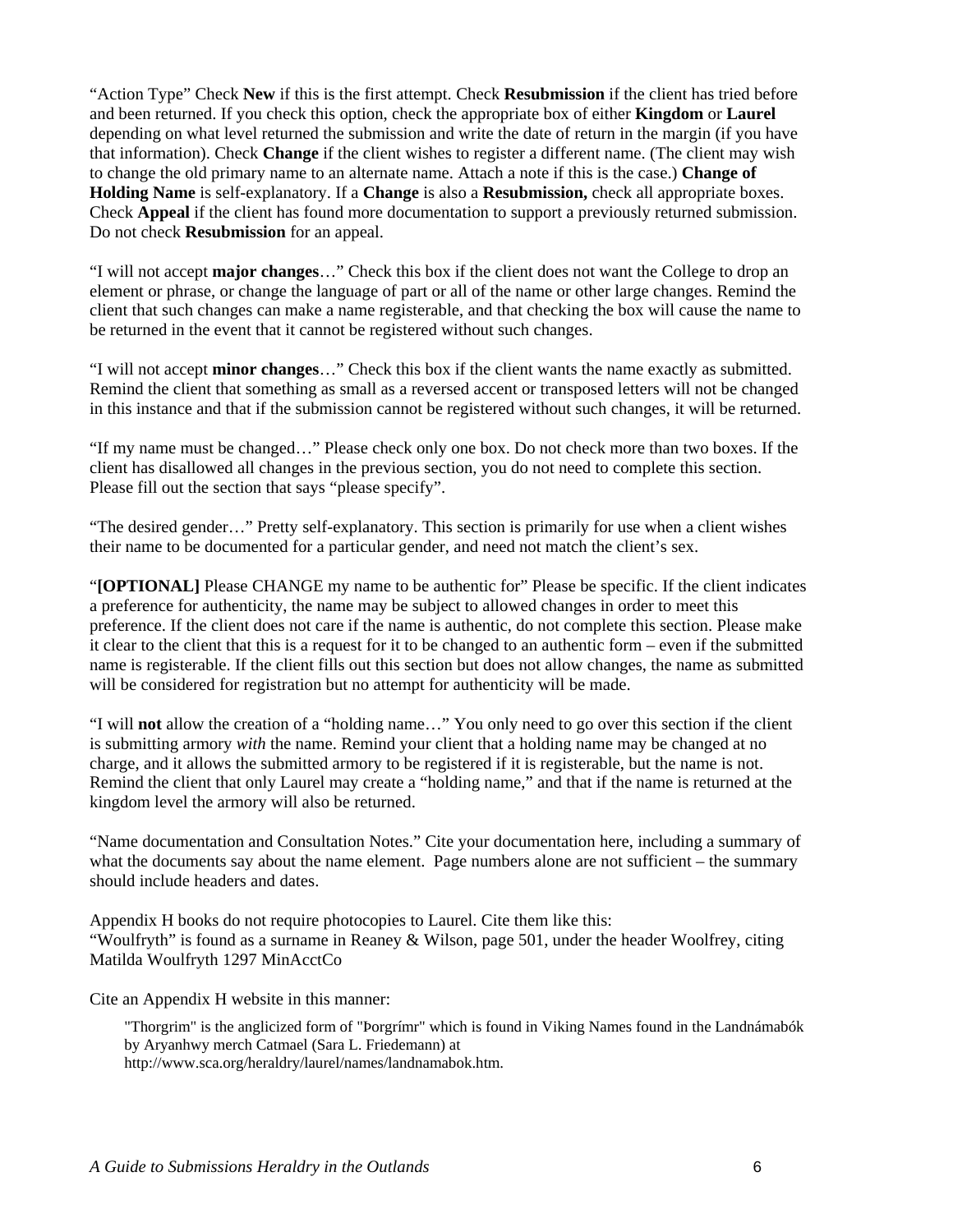"Action Type" Check **New** if this is the first attempt. Check **Resubmission** if the client has tried before and been returned. If you check this option, check the appropriate box of either **Kingdom** or **Laurel** depending on what level returned the submission and write the date of return in the margin (if you have that information). Check **Change** if the client wishes to register a different name. (The client may wish to change the old primary name to an alternate name. Attach a note if this is the case.) **Change of Holding Name** is self-explanatory. If a **Change** is also a **Resubmission,** check all appropriate boxes. Check **Appeal** if the client has found more documentation to support a previously returned submission. Do not check **Resubmission** for an appeal.

"I will not accept **major changes**…" Check this box if the client does not want the College to drop an element or phrase, or change the language of part or all of the name or other large changes. Remind the client that such changes can make a name registerable, and that checking the box will cause the name to be returned in the event that it cannot be registered without such changes.

"I will not accept **minor changes**…" Check this box if the client wants the name exactly as submitted. Remind the client that something as small as a reversed accent or transposed letters will not be changed in this instance and that if the submission cannot be registered without such changes, it will be returned.

"If my name must be changed…" Please check only one box. Do not check more than two boxes. If the client has disallowed all changes in the previous section, you do not need to complete this section. Please fill out the section that says "please specify".

"The desired gender…" Pretty self-explanatory. This section is primarily for use when a client wishes their name to be documented for a particular gender, and need not match the client's sex.

"**[OPTIONAL]** Please CHANGE my name to be authentic for" Please be specific. If the client indicates a preference for authenticity, the name may be subject to allowed changes in order to meet this preference. If the client does not care if the name is authentic, do not complete this section. Please make it clear to the client that this is a request for it to be changed to an authentic form – even if the submitted name is registerable. If the client fills out this section but does not allow changes, the name as submitted will be considered for registration but no attempt for authenticity will be made.

"I will **not** allow the creation of a "holding name…" You only need to go over this section if the client is submitting armory *with* the name. Remind your client that a holding name may be changed at no charge, and it allows the submitted armory to be registered if it is registerable, but the name is not. Remind the client that only Laurel may create a "holding name," and that if the name is returned at the kingdom level the armory will also be returned.

"Name documentation and Consultation Notes." Cite your documentation here, including a summary of what the documents say about the name element. Page numbers alone are not sufficient – the summary should include headers and dates.

Appendix H books do not require photocopies to Laurel. Cite them like this: "Woulfryth" is found as a surname in Reaney & Wilson, page 501, under the header Woolfrey, citing Matilda Woulfryth 1297 MinAcctCo

Cite an Appendix H website in this manner:

"Thorgrim" is the anglicized form of "Þorgrímr" which is found in Viking Names found in the Landnámabók by Aryanhwy merch Catmael (Sara L. Friedemann) at http://www.sca.org/heraldry/laurel/names/landnamabok.htm.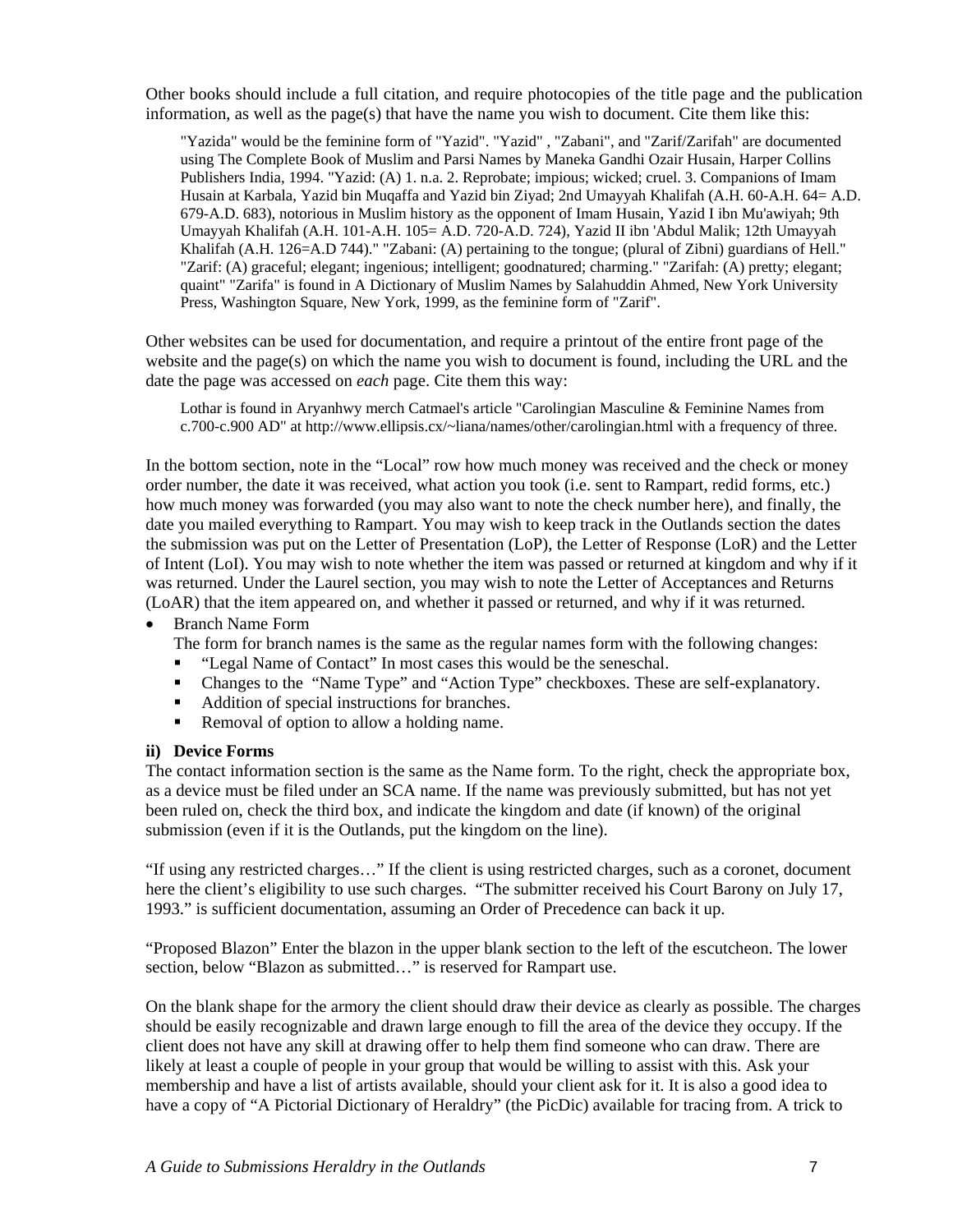<span id="page-10-0"></span>Other books should include a full citation, and require photocopies of the title page and the publication information, as well as the page(s) that have the name you wish to document. Cite them like this:

"Yazida" would be the feminine form of "Yazid". "Yazid" , "Zabani", and "Zarif/Zarifah" are documented using The Complete Book of Muslim and Parsi Names by Maneka Gandhi Ozair Husain, Harper Collins Publishers India, 1994. "Yazid: (A) 1. n.a. 2. Reprobate; impious; wicked; cruel. 3. Companions of Imam Husain at Karbala, Yazid bin Muqaffa and Yazid bin Ziyad; 2nd Umayyah Khalifah (A.H. 60-A.H. 64= A.D. 679-A.D. 683), notorious in Muslim history as the opponent of Imam Husain, Yazid I ibn Mu'awiyah; 9th Umayyah Khalifah (A.H. 101-A.H. 105= A.D. 720-A.D. 724), Yazid II ibn 'Abdul Malik; 12th Umayyah Khalifah (A.H. 126=A.D 744)." "Zabani: (A) pertaining to the tongue; (plural of Zibni) guardians of Hell." "Zarif: (A) graceful; elegant; ingenious; intelligent; goodnatured; charming." "Zarifah: (A) pretty; elegant; quaint" "Zarifa" is found in A Dictionary of Muslim Names by Salahuddin Ahmed, New York University Press, Washington Square, New York, 1999, as the feminine form of "Zarif".

Other websites can be used for documentation, and require a printout of the entire front page of the website and the page(s) on which the name you wish to document is found, including the URL and the date the page was accessed on *each* page. Cite them this way:

Lothar is found in Aryanhwy merch Catmael's article "Carolingian Masculine & Feminine Names from c.700-c.900 AD" at http://www.ellipsis.cx/~liana/names/other/carolingian.html with a frequency of three.

In the bottom section, note in the "Local" row how much money was received and the check or money order number, the date it was received, what action you took (i.e. sent to Rampart, redid forms, etc.) how much money was forwarded (you may also want to note the check number here), and finally, the date you mailed everything to Rampart. You may wish to keep track in the Outlands section the dates the submission was put on the Letter of Presentation (LoP), the Letter of Response (LoR) and the Letter of Intent (LoI). You may wish to note whether the item was passed or returned at kingdom and why if it was returned. Under the Laurel section, you may wish to note the Letter of Acceptances and Returns (LoAR) that the item appeared on, and whether it passed or returned, and why if it was returned.

• Branch Name Form

The form for branch names is the same as the regular names form with the following changes:

- "Legal Name of Contact" In most cases this would be the seneschal.
- Changes to the "Name Type" and "Action Type" checkboxes. These are self-explanatory.
- Addition of special instructions for branches.
- Removal of option to allow a holding name.

#### **ii) Device Forms**

The contact information section is the same as the Name form. To the right, check the appropriate box, as a device must be filed under an SCA name. If the name was previously submitted, but has not yet been ruled on, check the third box, and indicate the kingdom and date (if known) of the original submission (even if it is the Outlands, put the kingdom on the line).

"If using any restricted charges…" If the client is using restricted charges, such as a coronet, document here the client's eligibility to use such charges. "The submitter received his Court Barony on July 17, 1993." is sufficient documentation, assuming an Order of Precedence can back it up.

"Proposed Blazon" Enter the blazon in the upper blank section to the left of the escutcheon. The lower section, below "Blazon as submitted..." is reserved for Rampart use.

On the blank shape for the armory the client should draw their device as clearly as possible. The charges should be easily recognizable and drawn large enough to fill the area of the device they occupy. If the client does not have any skill at drawing offer to help them find someone who can draw. There are likely at least a couple of people in your group that would be willing to assist with this. Ask your membership and have a list of artists available, should your client ask for it. It is also a good idea to have a copy of "A Pictorial Dictionary of Heraldry" (the PicDic) available for tracing from. A trick to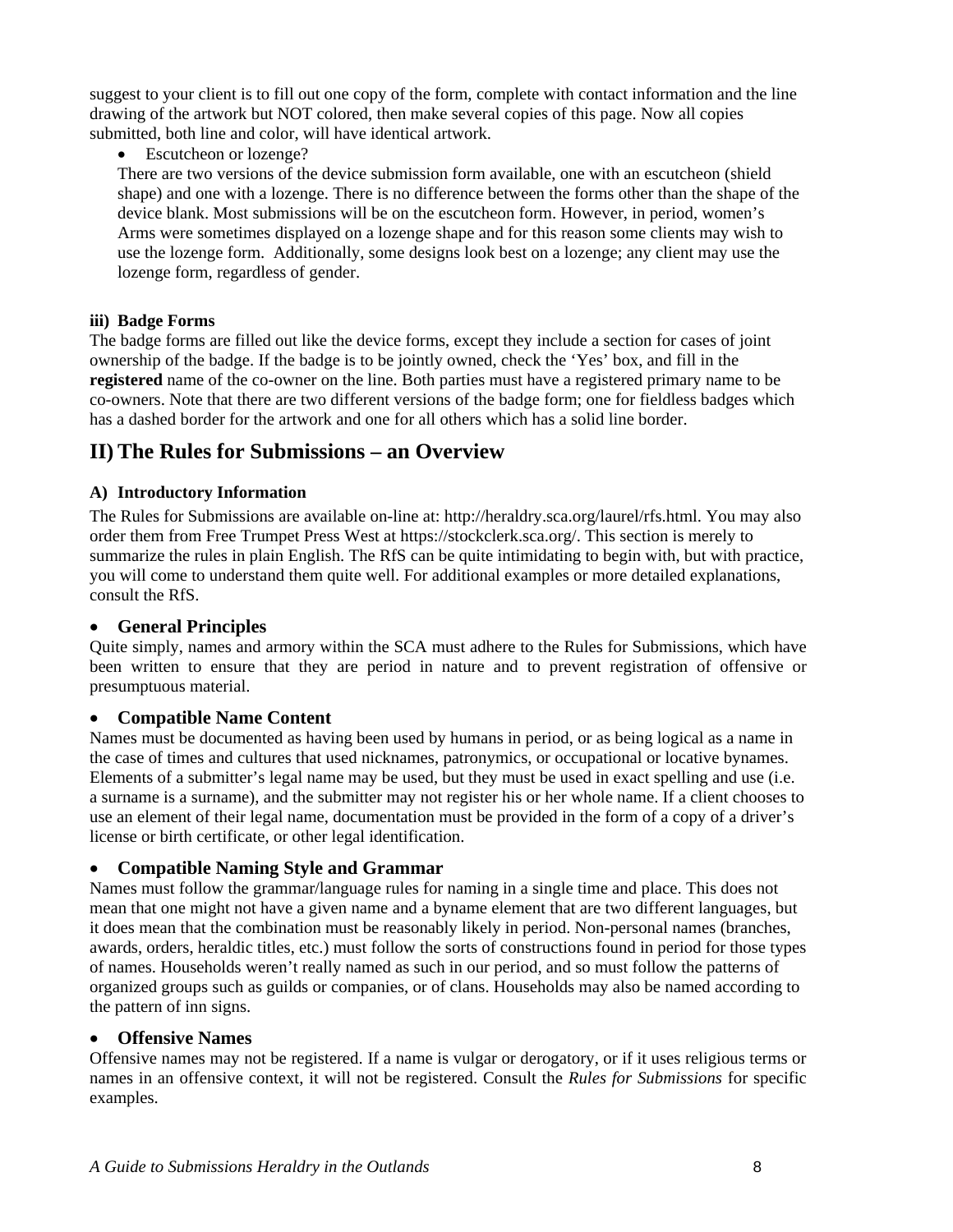<span id="page-11-0"></span>suggest to your client is to fill out one copy of the form, complete with contact information and the line drawing of the artwork but NOT colored, then make several copies of this page. Now all copies submitted, both line and color, will have identical artwork.

• Escutcheon or lozenge?

There are two versions of the device submission form available, one with an escutcheon (shield shape) and one with a lozenge. There is no difference between the forms other than the shape of the device blank. Most submissions will be on the escutcheon form. However, in period, women's Arms were sometimes displayed on a lozenge shape and for this reason some clients may wish to use the lozenge form. Additionally, some designs look best on a lozenge; any client may use the lozenge form, regardless of gender.

#### **iii) Badge Forms**

The badge forms are filled out like the device forms, except they include a section for cases of joint ownership of the badge. If the badge is to be jointly owned, check the 'Yes' box, and fill in the **registered** name of the co-owner on the line. Both parties must have a registered primary name to be co-owners. Note that there are two different versions of the badge form; one for fieldless badges which has a dashed border for the artwork and one for all others which has a solid line border.

## **II) The Rules for Submissions – an Overview**

#### **A) Introductory Information**

The Rules for Submissions are available on-line at: http://heraldry.sca.org/laurel/rfs.html. You may also order them from Free Trumpet Press West at https://stockclerk.sca.org/. This section is merely to summarize the rules in plain English. The RfS can be quite intimidating to begin with, but with practice, you will come to understand them quite well. For additional examples or more detailed explanations, consult the RfS.

#### • **General Principles**

Quite simply, names and armory within the SCA must adhere to the Rules for Submissions, which have been written to ensure that they are period in nature and to prevent registration of offensive or presumptuous material.

#### • **Compatible Name Content**

Names must be documented as having been used by humans in period, or as being logical as a name in the case of times and cultures that used nicknames, patronymics, or occupational or locative bynames. Elements of a submitter's legal name may be used, but they must be used in exact spelling and use (i.e. a surname is a surname), and the submitter may not register his or her whole name. If a client chooses to use an element of their legal name, documentation must be provided in the form of a copy of a driver's license or birth certificate, or other legal identification.

#### • **Compatible Naming Style and Grammar**

Names must follow the grammar/language rules for naming in a single time and place. This does not mean that one might not have a given name and a byname element that are two different languages, but it does mean that the combination must be reasonably likely in period. Non-personal names (branches, awards, orders, heraldic titles, etc.) must follow the sorts of constructions found in period for those types of names. Households weren't really named as such in our period, and so must follow the patterns of organized groups such as guilds or companies, or of clans. Households may also be named according to the pattern of inn signs.

#### • **Offensive Names**

Offensive names may not be registered. If a name is vulgar or derogatory, or if it uses religious terms or names in an offensive context, it will not be registered. Consult the *Rules for Submissions* for specific examples.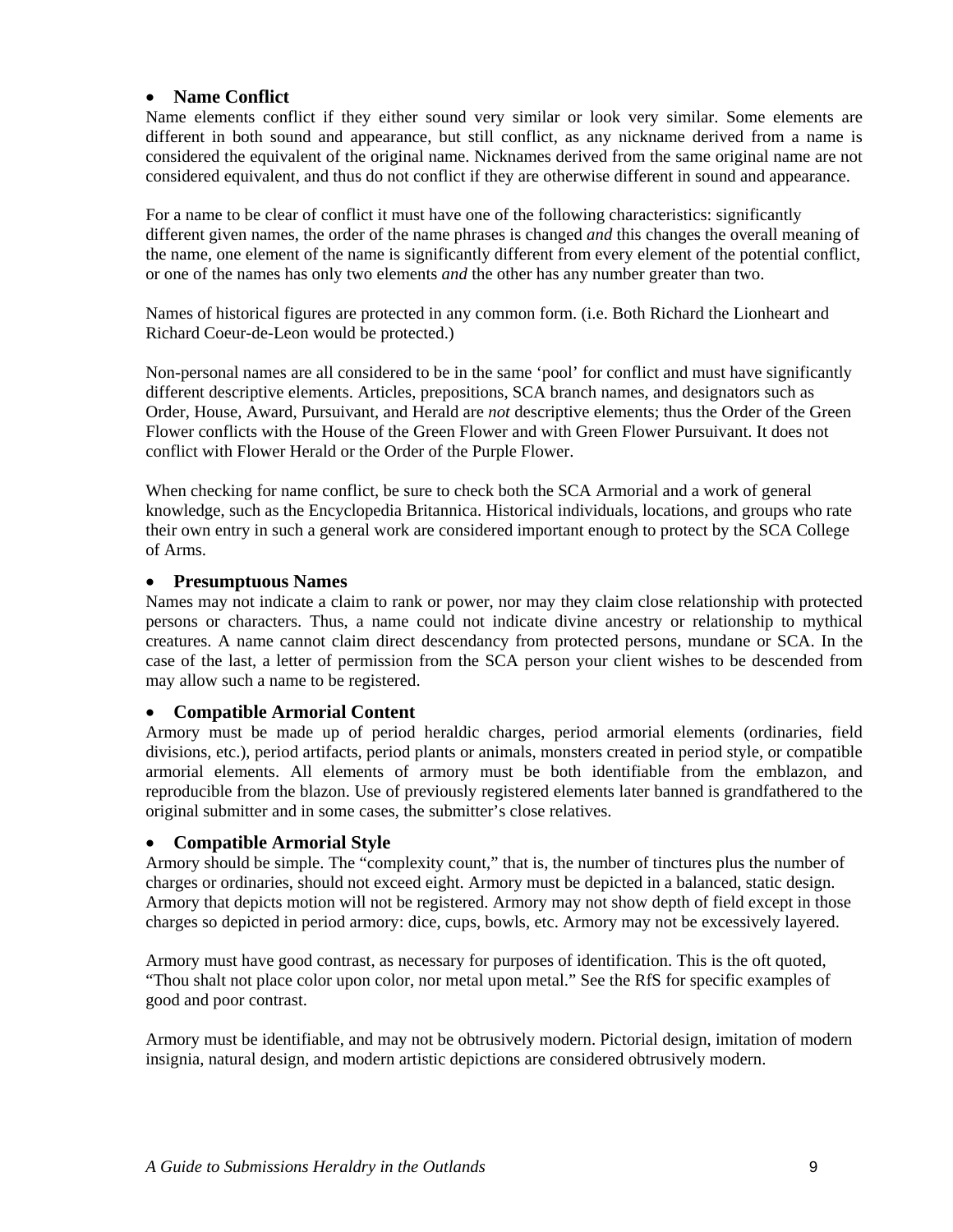#### • **Name Conflict**

Name elements conflict if they either sound very similar or look very similar. Some elements are different in both sound and appearance, but still conflict, as any nickname derived from a name is considered the equivalent of the original name. Nicknames derived from the same original name are not considered equivalent, and thus do not conflict if they are otherwise different in sound and appearance.

For a name to be clear of conflict it must have one of the following characteristics: significantly different given names, the order of the name phrases is changed *and* this changes the overall meaning of the name, one element of the name is significantly different from every element of the potential conflict, or one of the names has only two elements *and* the other has any number greater than two.

Names of historical figures are protected in any common form. (i.e. Both Richard the Lionheart and Richard Coeur-de-Leon would be protected.)

Non-personal names are all considered to be in the same 'pool' for conflict and must have significantly different descriptive elements. Articles, prepositions, SCA branch names, and designators such as Order, House, Award, Pursuivant, and Herald are *not* descriptive elements; thus the Order of the Green Flower conflicts with the House of the Green Flower and with Green Flower Pursuivant. It does not conflict with Flower Herald or the Order of the Purple Flower.

When checking for name conflict, be sure to check both the SCA Armorial and a work of general knowledge, such as the Encyclopedia Britannica. Historical individuals, locations, and groups who rate their own entry in such a general work are considered important enough to protect by the SCA College of Arms.

#### • **Presumptuous Names**

Names may not indicate a claim to rank or power, nor may they claim close relationship with protected persons or characters. Thus, a name could not indicate divine ancestry or relationship to mythical creatures. A name cannot claim direct descendancy from protected persons, mundane or SCA. In the case of the last, a letter of permission from the SCA person your client wishes to be descended from may allow such a name to be registered.

#### • **Compatible Armorial Content**

Armory must be made up of period heraldic charges, period armorial elements (ordinaries, field divisions, etc.), period artifacts, period plants or animals, monsters created in period style, or compatible armorial elements. All elements of armory must be both identifiable from the emblazon, and reproducible from the blazon. Use of previously registered elements later banned is grandfathered to the original submitter and in some cases, the submitter's close relatives.

#### • **Compatible Armorial Style**

Armory should be simple. The "complexity count," that is, the number of tinctures plus the number of charges or ordinaries, should not exceed eight. Armory must be depicted in a balanced, static design. Armory that depicts motion will not be registered. Armory may not show depth of field except in those charges so depicted in period armory: dice, cups, bowls, etc. Armory may not be excessively layered.

Armory must have good contrast, as necessary for purposes of identification. This is the oft quoted, "Thou shalt not place color upon color, nor metal upon metal." See the RfS for specific examples of good and poor contrast.

Armory must be identifiable, and may not be obtrusively modern. Pictorial design, imitation of modern insignia, natural design, and modern artistic depictions are considered obtrusively modern.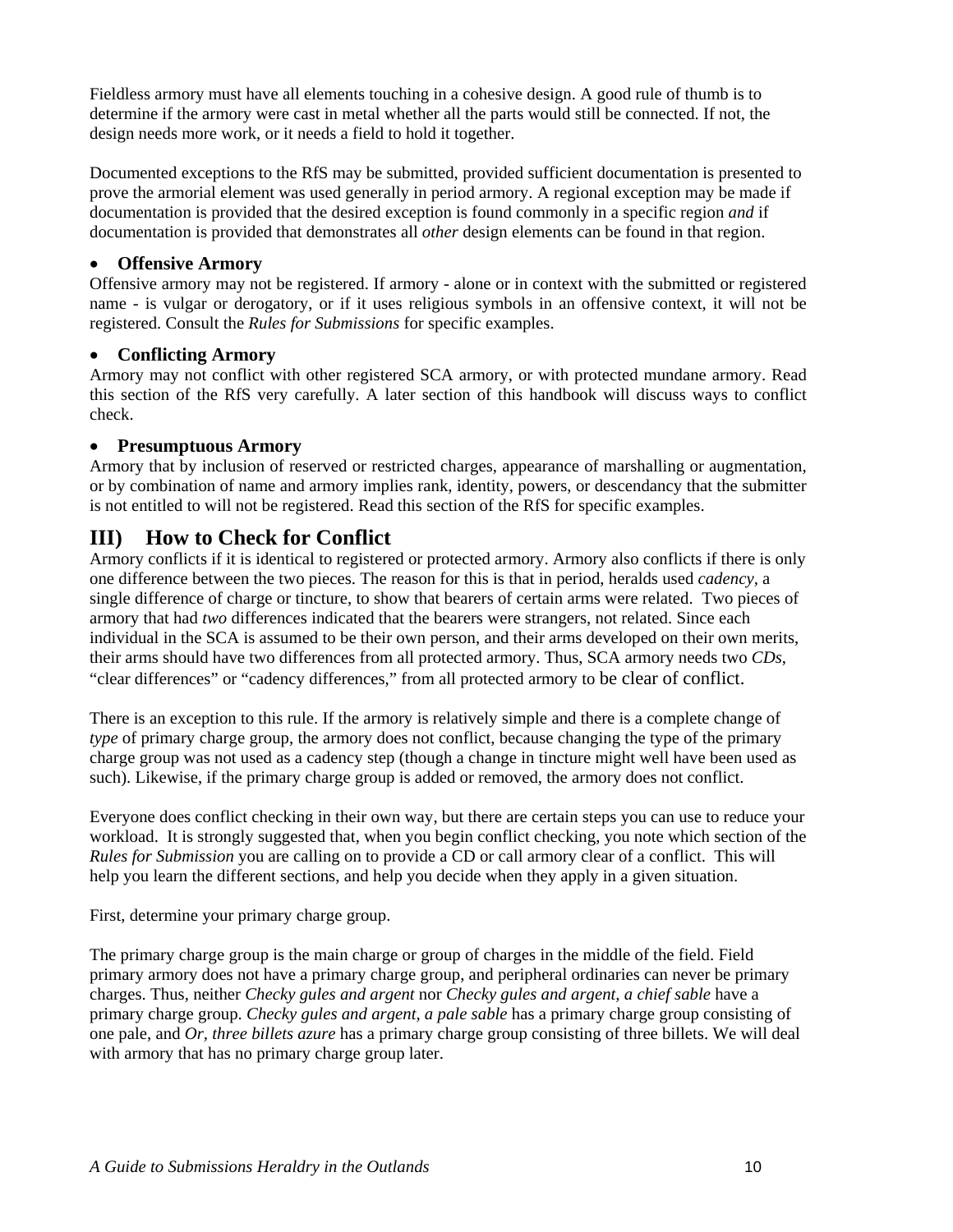<span id="page-13-0"></span>Fieldless armory must have all elements touching in a cohesive design. A good rule of thumb is to determine if the armory were cast in metal whether all the parts would still be connected. If not, the design needs more work, or it needs a field to hold it together.

Documented exceptions to the RfS may be submitted, provided sufficient documentation is presented to prove the armorial element was used generally in period armory. A regional exception may be made if documentation is provided that the desired exception is found commonly in a specific region *and* if documentation is provided that demonstrates all *other* design elements can be found in that region.

#### • **Offensive Armory**

Offensive armory may not be registered. If armory - alone or in context with the submitted or registered name - is vulgar or derogatory, or if it uses religious symbols in an offensive context, it will not be registered. Consult the *Rules for Submissions* for specific examples.

#### • **Conflicting Armory**

Armory may not conflict with other registered SCA armory, or with protected mundane armory. Read this section of the RfS very carefully. A later section of this handbook will discuss ways to conflict check.

#### • **Presumptuous Armory**

Armory that by inclusion of reserved or restricted charges, appearance of marshalling or augmentation, or by combination of name and armory implies rank, identity, powers, or descendancy that the submitter is not entitled to will not be registered. Read this section of the RfS for specific examples.

## **III) How to Check for Conflict**

Armory conflicts if it is identical to registered or protected armory. Armory also conflicts if there is only one difference between the two pieces. The reason for this is that in period, heralds used *cadency,* a single difference of charge or tincture, to show that bearers of certain arms were related. Two pieces of armory that had *two* differences indicated that the bearers were strangers, not related. Since each individual in the SCA is assumed to be their own person, and their arms developed on their own merits, their arms should have two differences from all protected armory. Thus, SCA armory needs two *CDs*, "clear differences" or "cadency differences," from all protected armory to be clear of conflict.

There is an exception to this rule. If the armory is relatively simple and there is a complete change of *type* of primary charge group, the armory does not conflict, because changing the type of the primary charge group was not used as a cadency step (though a change in tincture might well have been used as such). Likewise, if the primary charge group is added or removed, the armory does not conflict.

Everyone does conflict checking in their own way, but there are certain steps you can use to reduce your workload. It is strongly suggested that, when you begin conflict checking, you note which section of the *Rules for Submission* you are calling on to provide a CD or call armory clear of a conflict. This will help you learn the different sections, and help you decide when they apply in a given situation.

First, determine your primary charge group.

The primary charge group is the main charge or group of charges in the middle of the field. Field primary armory does not have a primary charge group, and peripheral ordinaries can never be primary charges. Thus, neither *Checky gules and argent* nor *Checky gules and argent, a chief sable* have a primary charge group. *Checky gules and argent, a pale sable* has a primary charge group consisting of one pale, and *Or, three billets azure* has a primary charge group consisting of three billets. We will deal with armory that has no primary charge group later.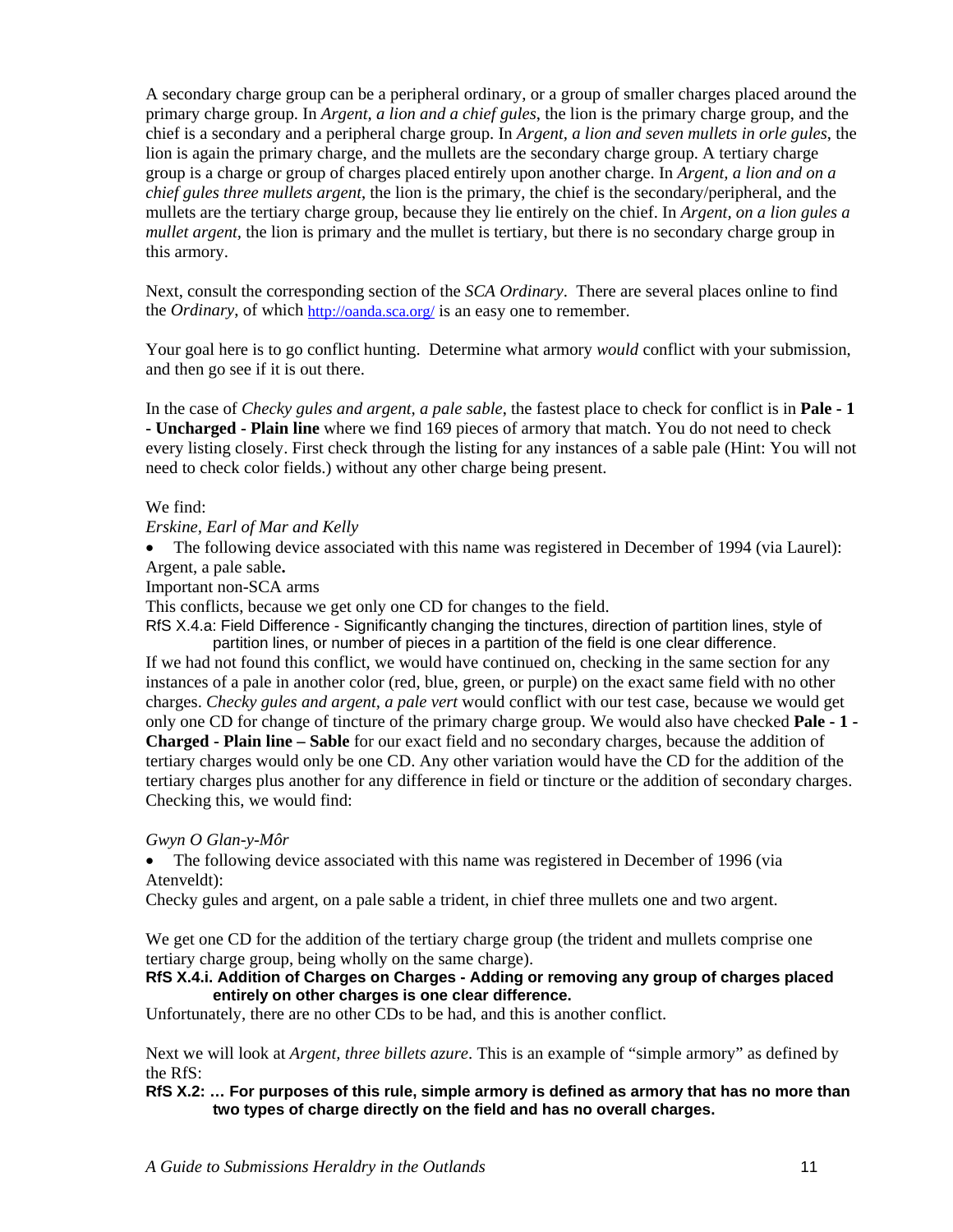A secondary charge group can be a peripheral ordinary, or a group of smaller charges placed around the primary charge group. In *Argent, a lion and a chief gules*, the lion is the primary charge group, and the chief is a secondary and a peripheral charge group. In *Argent, a lion and seven mullets in orle gules*, the lion is again the primary charge, and the mullets are the secondary charge group. A tertiary charge group is a charge or group of charges placed entirely upon another charge. In *Argent, a lion and on a chief gules three mullets argent*, the lion is the primary, the chief is the secondary/peripheral, and the mullets are the tertiary charge group, because they lie entirely on the chief. In *Argent, on a lion gules a mullet argent,* the lion is primary and the mullet is tertiary, but there is no secondary charge group in this armory.

Next, consult the corresponding section of the *SCA Ordinary*. There are several places online to find the *Ordinary*, of which <http://oanda.sca.org/> is an easy one to remember.

Your goal here is to go conflict hunting. Determine what armory *would* conflict with your submission, and then go see if it is out there.

In the case of *Checky gules and argent, a pale sable*, the fastest place to check for conflict is in **Pale - 1 - Uncharged - Plain line** where we find 169 pieces of armory that match. You do not need to check every listing closely. First check through the listing for any instances of a sable pale (Hint: You will not need to check color fields.) without any other charge being present.

#### We find:

#### *Erskine, Earl of Mar and Kelly*

• The following device associated with this name was registered in December of 1994 (via Laurel): Argent, a pale sable**.**

Important non-SCA arms

This conflicts, because we get only one CD for changes to the field.

RfS X.4.a: Field Difference - Significantly changing the tinctures, direction of partition lines, style of partition lines, or number of pieces in a partition of the field is one clear difference.

If we had not found this conflict, we would have continued on, checking in the same section for any instances of a pale in another color (red, blue, green, or purple) on the exact same field with no other charges. *Checky gules and argent, a pale vert* would conflict with our test case, because we would get only one CD for change of tincture of the primary charge group. We would also have checked **Pale - 1 - Charged - Plain line – Sable** for our exact field and no secondary charges, because the addition of tertiary charges would only be one CD. Any other variation would have the CD for the addition of the tertiary charges plus another for any difference in field or tincture or the addition of secondary charges. Checking this, we would find:

#### *Gwyn O Glan-y-Môr*

• The following device associated with this name was registered in December of 1996 (via Atenveldt):

Checky gules and argent, on a pale sable a trident, in chief three mullets one and two argent.

We get one CD for the addition of the tertiary charge group (the trident and mullets comprise one tertiary charge group, being wholly on the same charge).

#### **RfS X.4.i. Addition of Charges on Charges - Adding or removing any group of charges placed entirely on other charges is one clear difference.**

Unfortunately, there are no other CDs to be had, and this is another conflict.

Next we will look at *Argent, three billets azure*. This is an example of "simple armory" as defined by the RfS:

**RfS X.2: … For purposes of this rule, simple armory is defined as armory that has no more than two types of charge directly on the field and has no overall charges.**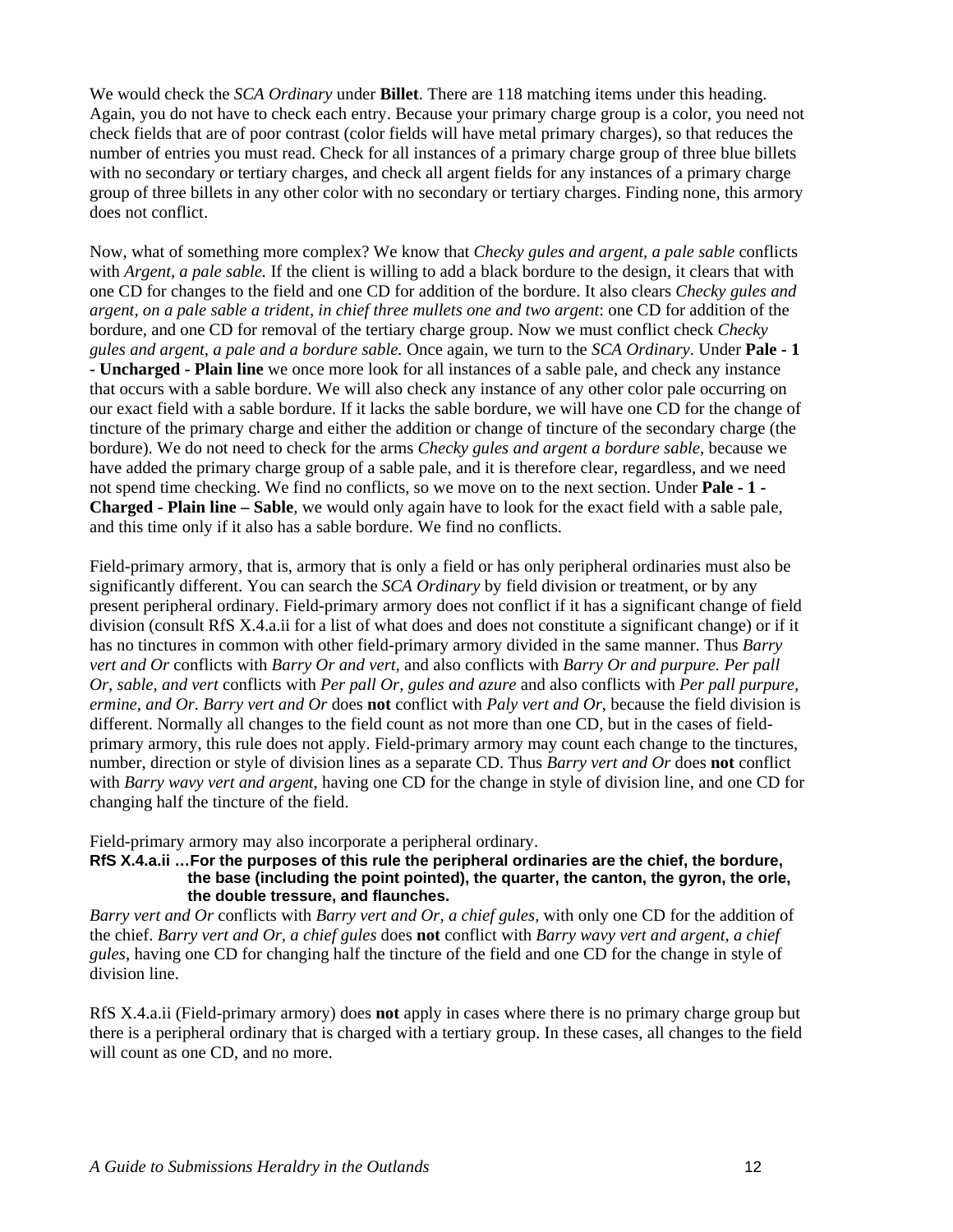We would check the *SCA Ordinary* under **Billet**. There are 118 matching items under this heading. Again, you do not have to check each entry. Because your primary charge group is a color, you need not check fields that are of poor contrast (color fields will have metal primary charges), so that reduces the number of entries you must read. Check for all instances of a primary charge group of three blue billets with no secondary or tertiary charges, and check all argent fields for any instances of a primary charge group of three billets in any other color with no secondary or tertiary charges. Finding none, this armory does not conflict.

Now, what of something more complex? We know that *Checky gules and argent, a pale sable* conflicts with *Argent, a pale sable*. If the client is willing to add a black bordure to the design, it clears that with one CD for changes to the field and one CD for addition of the bordure. It also clears *Checky gules and argent, on a pale sable a trident, in chief three mullets one and two argent*: one CD for addition of the bordure, and one CD for removal of the tertiary charge group. Now we must conflict check *Checky gules and argent, a pale and a bordure sable.* Once again, we turn to the *SCA Ordinary*. Under **Pale - 1 - Uncharged - Plain line** we once more look for all instances of a sable pale, and check any instance that occurs with a sable bordure. We will also check any instance of any other color pale occurring on our exact field with a sable bordure. If it lacks the sable bordure, we will have one CD for the change of tincture of the primary charge and either the addition or change of tincture of the secondary charge (the bordure). We do not need to check for the arms *Checky gules and argent a bordure sable*, because we have added the primary charge group of a sable pale, and it is therefore clear, regardless, and we need not spend time checking. We find no conflicts, so we move on to the next section. Under **Pale - 1 - Charged - Plain line – Sable**, we would only again have to look for the exact field with a sable pale, and this time only if it also has a sable bordure. We find no conflicts.

Field-primary armory, that is, armory that is only a field or has only peripheral ordinaries must also be significantly different. You can search the *SCA Ordinary* by field division or treatment, or by any present peripheral ordinary. Field-primary armory does not conflict if it has a significant change of field division (consult RfS X.4.a.ii for a list of what does and does not constitute a significant change) or if it has no tinctures in common with other field-primary armory divided in the same manner. Thus *Barry vert and Or* conflicts with *Barry Or and vert,* and also conflicts with *Barry Or and purpure. Per pall Or, sable, and vert* conflicts with *Per pall Or, gules and azure* and also conflicts with *Per pall purpure, ermine, and Or. Barry vert and Or* does **not** conflict with *Paly vert and Or*, because the field division is different. Normally all changes to the field count as not more than one CD, but in the cases of fieldprimary armory, this rule does not apply. Field-primary armory may count each change to the tinctures, number, direction or style of division lines as a separate CD. Thus *Barry vert and Or* does **not** conflict with *Barry wavy vert and argent*, having one CD for the change in style of division line, and one CD for changing half the tincture of the field.

Field-primary armory may also incorporate a peripheral ordinary.

**RfS X.4.a.ii …For the purposes of this rule the peripheral ordinaries are the chief, the bordure, the base (including the point pointed), the quarter, the canton, the gyron, the orle, the double tressure, and flaunches.** 

*Barry vert and Or* conflicts with *Barry vert and Or, a chief gules,* with only one CD for the addition of the chief. *Barry vert and Or, a chief gules* does **not** conflict with *Barry wavy vert and argent, a chief gules*, having one CD for changing half the tincture of the field and one CD for the change in style of division line.

RfS X.4.a.ii (Field-primary armory) does **not** apply in cases where there is no primary charge group but there is a peripheral ordinary that is charged with a tertiary group. In these cases, all changes to the field will count as one CD, and no more.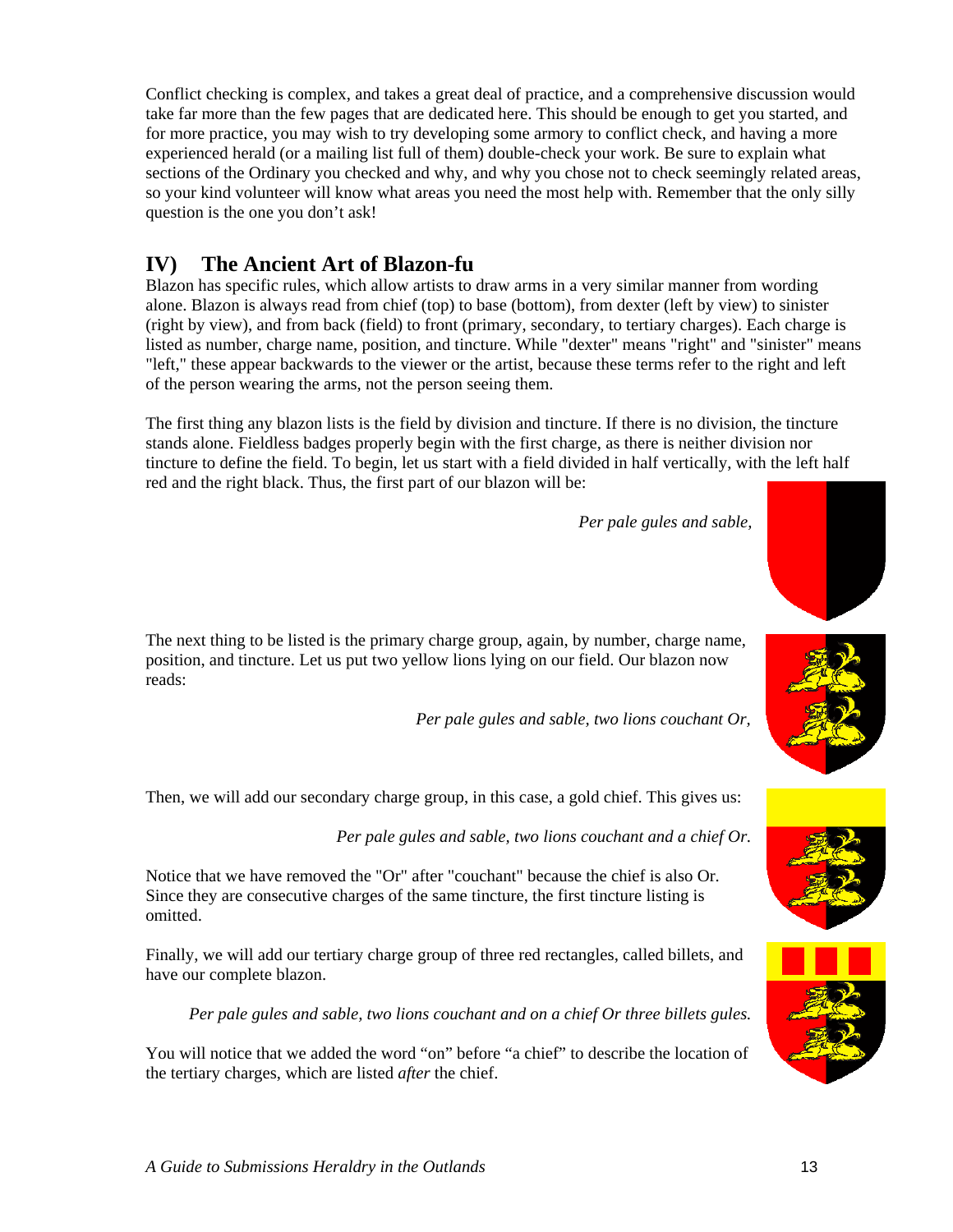<span id="page-16-0"></span>Conflict checking is complex, and takes a great deal of practice, and a comprehensive discussion would take far more than the few pages that are dedicated here. This should be enough to get you started, and for more practice, you may wish to try developing some armory to conflict check, and having a more experienced herald (or a mailing list full of them) double-check your work. Be sure to explain what sections of the Ordinary you checked and why, and why you chose not to check seemingly related areas, so your kind volunteer will know what areas you need the most help with. Remember that the only silly question is the one you don't ask!

# **IV) The Ancient Art of Blazon-fu**

Blazon has specific rules, which allow artists to draw arms in a very similar manner from wording alone. Blazon is always read from chief (top) to base (bottom), from dexter (left by view) to sinister (right by view), and from back (field) to front (primary, secondary, to tertiary charges). Each charge is listed as number, charge name, position, and tincture. While "dexter" means "right" and "sinister" means "left," these appear backwards to the viewer or the artist, because these terms refer to the right and left of the person wearing the arms, not the person seeing them.

The first thing any blazon lists is the field by division and tincture. If there is no division, the tincture stands alone. Fieldless badges properly begin with the first charge, as there is neither division nor tincture to define the field. To begin, let us start with a field divided in half vertically, with the left half red and the right black. Thus, the first part of our blazon will be:

*Per pale gules and sable,*



The next thing to be listed is the primary charge group, again, by number, charge name, position, and tincture. Let us put two yellow lions lying on our field. Our blazon now reads:

*Per pale gules and sable, two lions couchant Or,*

Then, we will add our secondary charge group, in this case, a gold chief. This gives us:

*Per pale gules and sable, two lions couchant and a chief Or.*

Notice that we have removed the "Or" after "couchant" because the chief is also Or. Since they are consecutive charges of the same tincture, the first tincture listing is omitted.

Finally, we will add our tertiary charge group of three red rectangles, called billets, and have our complete blazon.

*Per pale gules and sable, two lions couchant and on a chief Or three billets gules.* 

You will notice that we added the word "on" before "a chief" to describe the location of the tertiary charges, which are listed *after* the chief.





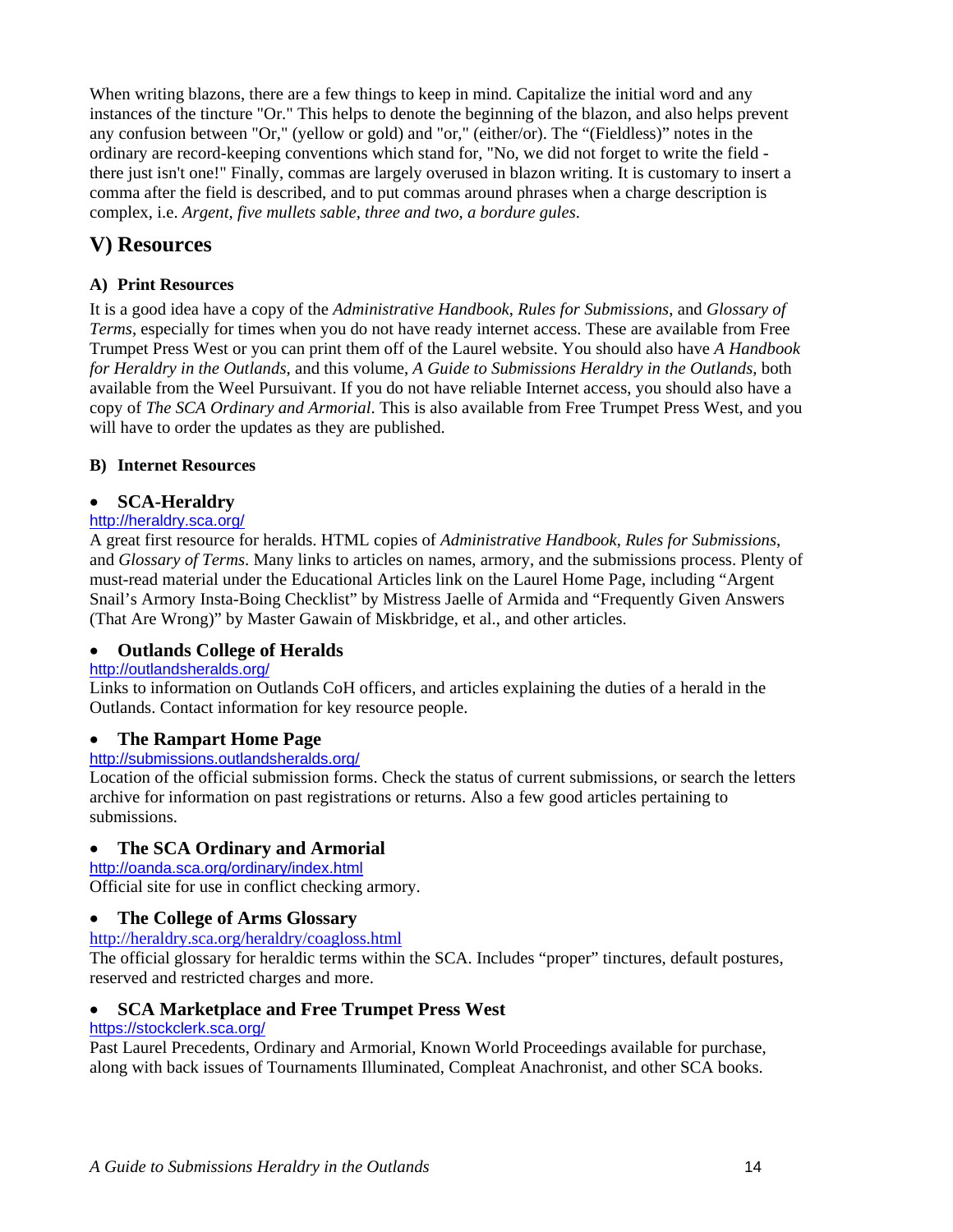<span id="page-17-0"></span>When writing blazons, there are a few things to keep in mind. Capitalize the initial word and any instances of the tincture "Or." This helps to denote the beginning of the blazon, and also helps prevent any confusion between "Or," (yellow or gold) and "or," (either/or). The "(Fieldless)" notes in the ordinary are record-keeping conventions which stand for, "No, we did not forget to write the field there just isn't one!" Finally, commas are largely overused in blazon writing. It is customary to insert a comma after the field is described, and to put commas around phrases when a charge description is complex, i.e. *Argent, five mullets sable, three and two, a bordure gules*.

# **V) Resources**

#### **A) Print Resources**

It is a good idea have a copy of the *Administrative Handbook*, *Rules for Submissions*, and *Glossary of Terms*, especially for times when you do not have ready internet access. These are available from Free Trumpet Press West or you can print them off of the Laurel website. You should also have *A Handbook for Heraldry in the Outlands*, and this volume, *A Guide to Submissions Heraldry in the Outlands*, both available from the Weel Pursuivant. If you do not have reliable Internet access, you should also have a copy of *The SCA Ordinary and Armorial*. This is also available from Free Trumpet Press West, and you will have to order the updates as they are published.

#### **B) Internet Resources**

#### • **SCA-Heraldry**

#### <http://heraldry.sca.org/>

A great first resource for heralds. HTML copies of *Administrative Handbook*, *Rules for Submissions*, and *Glossary of Terms*. Many links to articles on names, armory, and the submissions process. Plenty of must-read material under the Educational Articles link on the Laurel Home Page, including "Argent Snail's Armory Insta-Boing Checklist" by Mistress Jaelle of Armida and "Frequently Given Answers (That Are Wrong)" by Master Gawain of Miskbridge, et al., and other articles.

#### • **Outlands College of Heralds**

#### <http://outlandsheralds.org/>

Links to information on Outlands CoH officers, and articles explaining the duties of a herald in the Outlands. Contact information for key resource people.

#### • **The Rampart Home Page**

#### <http://submissions.outlandsheralds.org/>

Location of the official submission forms. Check the status of current submissions, or search the letters archive for information on past registrations or returns. Also a few good articles pertaining to submissions.

#### • **The SCA Ordinary and Armorial**

<http://oanda.sca.org/ordinary/index.html>

Official site for use in conflict checking armory.

#### • **The College of Arms Glossary**

<http://heraldry.sca.org/heraldry/coagloss.html>

The official glossary for heraldic terms within the SCA. Includes "proper" tinctures, default postures, reserved and restricted charges and more.

#### • **SCA Marketplace and Free Trumpet Press West**

#### <https://stockclerk.sca.org/>

Past Laurel Precedents, Ordinary and Armorial, Known World Proceedings available for purchase, along with back issues of Tournaments Illuminated, Compleat Anachronist, and other SCA books.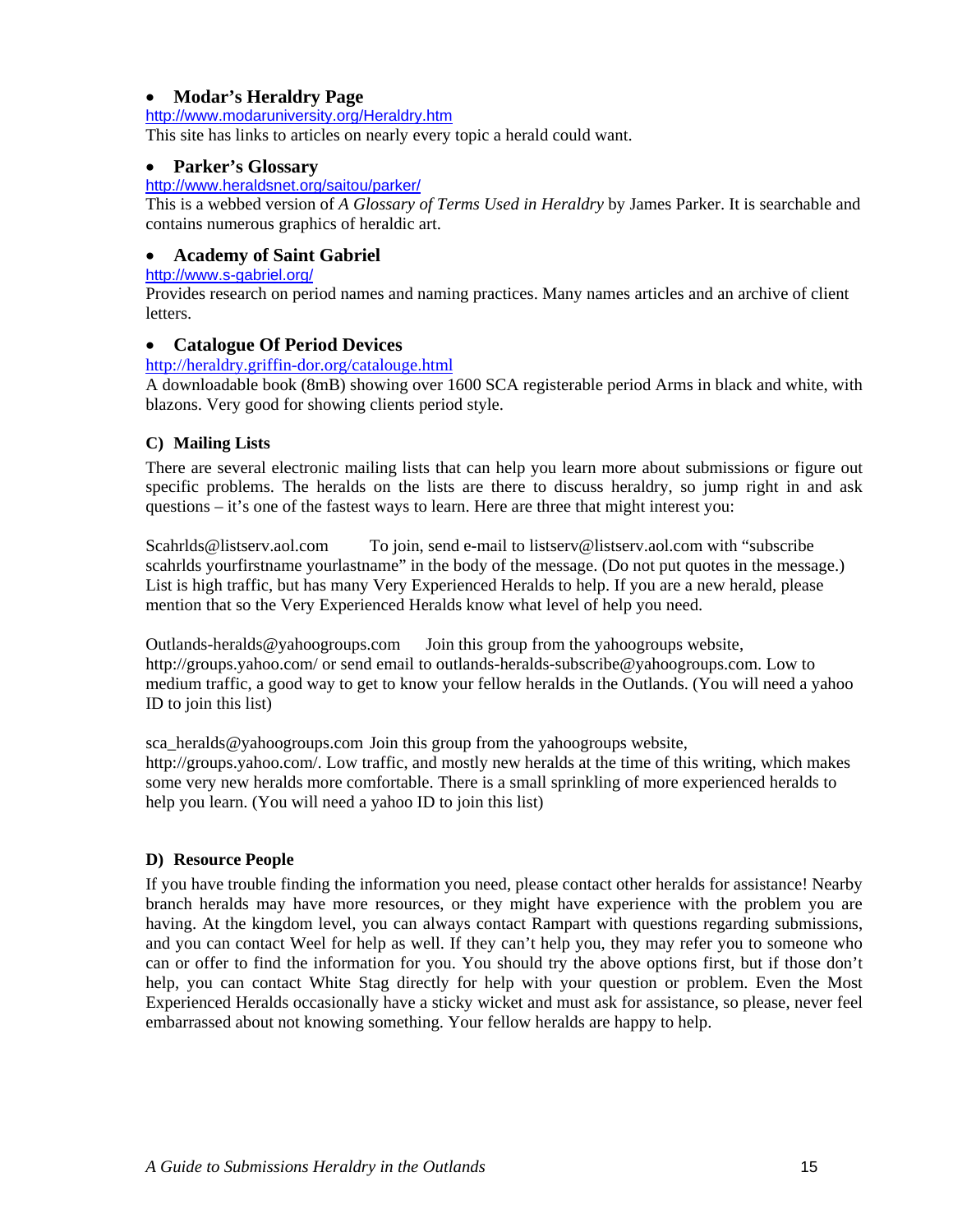#### <span id="page-18-0"></span>• **Modar's Heraldry Page**

<http://www.modaruniversity.org/Heraldry.htm>

This site has links to articles on nearly every topic a herald could want.

#### • **Parker's Glossary**

#### <http://www.heraldsnet.org/saitou/parker/>

This is a webbed version of *A Glossary of Terms Used in Heraldry* by James Parker. It is searchable and contains numerous graphics of heraldic art.

#### • **Academy of Saint Gabriel**

<http://www.s-gabriel.org/>

Provides research on period names and naming practices. Many names articles and an archive of client letters.

#### • **Catalogue Of Period Devices**

<http://heraldry.griffin-dor.org/catalouge.html>

A downloadable book (8mB) showing over 1600 SCA registerable period Arms in black and white, with blazons. Very good for showing clients period style.

#### **C) Mailing Lists**

There are several electronic mailing lists that can help you learn more about submissions or figure out specific problems. The heralds on the lists are there to discuss heraldry, so jump right in and ask questions – it's one of the fastest ways to learn. Here are three that might interest you:

Scahrlds@listserv.aol.com To join, send e-mail to listserv@listserv.aol.com with "subscribe scahrlds yourfirstname yourlastname" in the body of the message. (Do not put quotes in the message.) List is high traffic, but has many Very Experienced Heralds to help. If you are a new herald, please mention that so the Very Experienced Heralds know what level of help you need.

Outlands-heralds@yahoogroups.com Join this group from the yahoogroups website, http://groups.yahoo.com/ or send email to outlands-heralds-subscribe@yahoogroups.com. Low to medium traffic, a good way to get to know your fellow heralds in the Outlands. (You will need a yahoo ID to join this list)

sca\_heralds@yahoogroups.com Join this group from the yahoogroups website, http://groups.yahoo.com/. Low traffic, and mostly new heralds at the time of this writing, which makes some very new heralds more comfortable. There is a small sprinkling of more experienced heralds to help you learn. (You will need a yahoo ID to join this list)

#### **D) Resource People**

If you have trouble finding the information you need, please contact other heralds for assistance! Nearby branch heralds may have more resources, or they might have experience with the problem you are having. At the kingdom level, you can always contact Rampart with questions regarding submissions, and you can contact Weel for help as well. If they can't help you, they may refer you to someone who can or offer to find the information for you. You should try the above options first, but if those don't help, you can contact White Stag directly for help with your question or problem. Even the Most Experienced Heralds occasionally have a sticky wicket and must ask for assistance, so please, never feel embarrassed about not knowing something. Your fellow heralds are happy to help.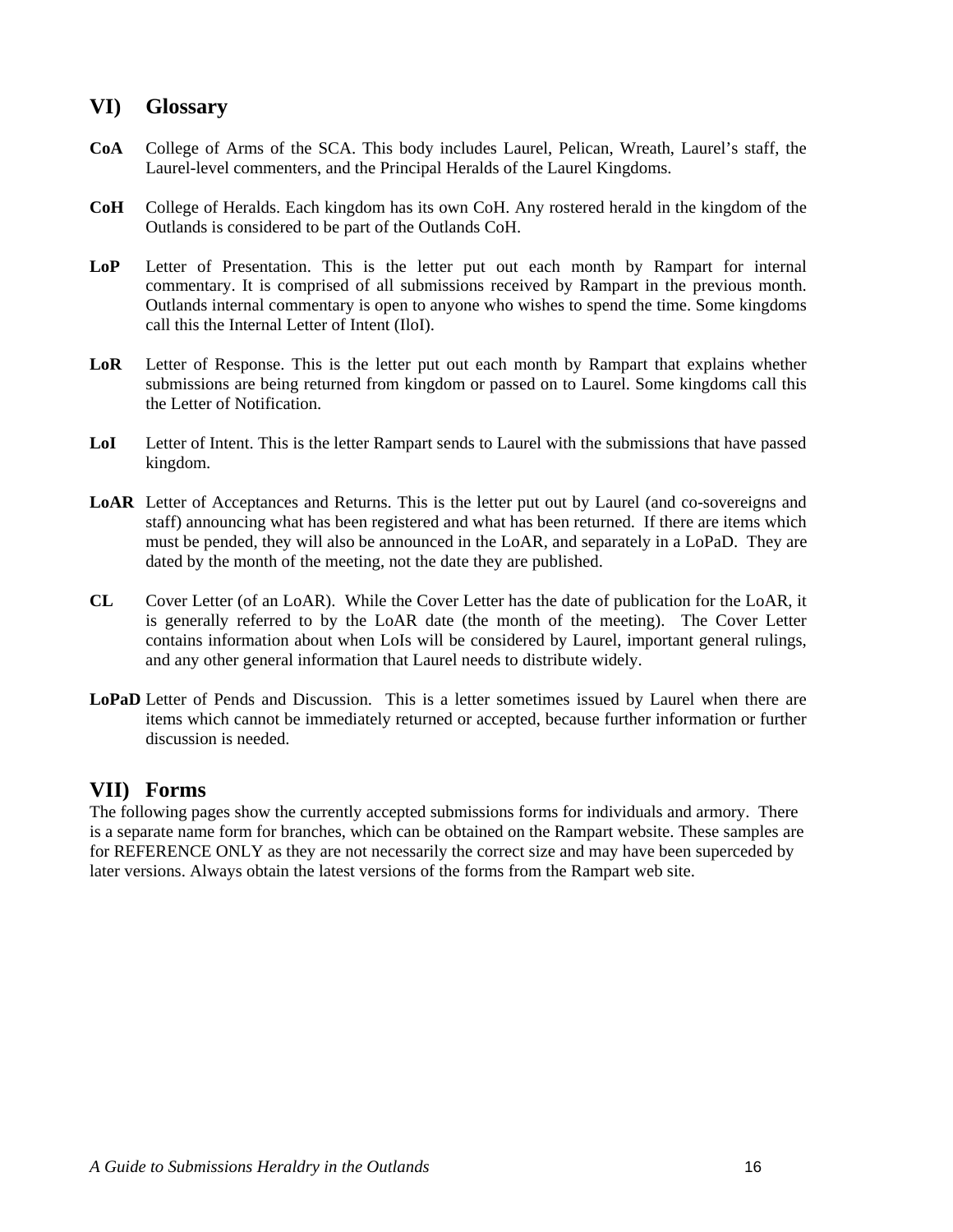## <span id="page-19-0"></span>**VI) Glossary**

- **CoA** College of Arms of the SCA. This body includes Laurel, Pelican, Wreath, Laurel's staff, the Laurel-level commenters, and the Principal Heralds of the Laurel Kingdoms.
- **CoH** College of Heralds. Each kingdom has its own CoH. Any rostered herald in the kingdom of the Outlands is considered to be part of the Outlands CoH.
- **LoP** Letter of Presentation. This is the letter put out each month by Rampart for internal commentary. It is comprised of all submissions received by Rampart in the previous month. Outlands internal commentary is open to anyone who wishes to spend the time. Some kingdoms call this the Internal Letter of Intent (IloI).
- **LoR** Letter of Response. This is the letter put out each month by Rampart that explains whether submissions are being returned from kingdom or passed on to Laurel. Some kingdoms call this the Letter of Notification.
- **LoI** Letter of Intent. This is the letter Rampart sends to Laurel with the submissions that have passed kingdom.
- LoAR Letter of Acceptances and Returns. This is the letter put out by Laurel (and co-sovereigns and staff) announcing what has been registered and what has been returned. If there are items which must be pended, they will also be announced in the LoAR, and separately in a LoPaD. They are dated by the month of the meeting, not the date they are published.
- **CL** Cover Letter (of an LoAR). While the Cover Letter has the date of publication for the LoAR, it is generally referred to by the LoAR date (the month of the meeting). The Cover Letter contains information about when LoIs will be considered by Laurel, important general rulings, and any other general information that Laurel needs to distribute widely.
- **LoPaD** Letter of Pends and Discussion. This is a letter sometimes issued by Laurel when there are items which cannot be immediately returned or accepted, because further information or further discussion is needed.

### **VII) Forms**

The following pages show the currently accepted submissions forms for individuals and armory. There is a separate name form for branches, which can be obtained on the Rampart website. These samples are for REFERENCE ONLY as they are not necessarily the correct size and may have been superceded by later versions. Always obtain the latest versions of the forms from the Rampart web site.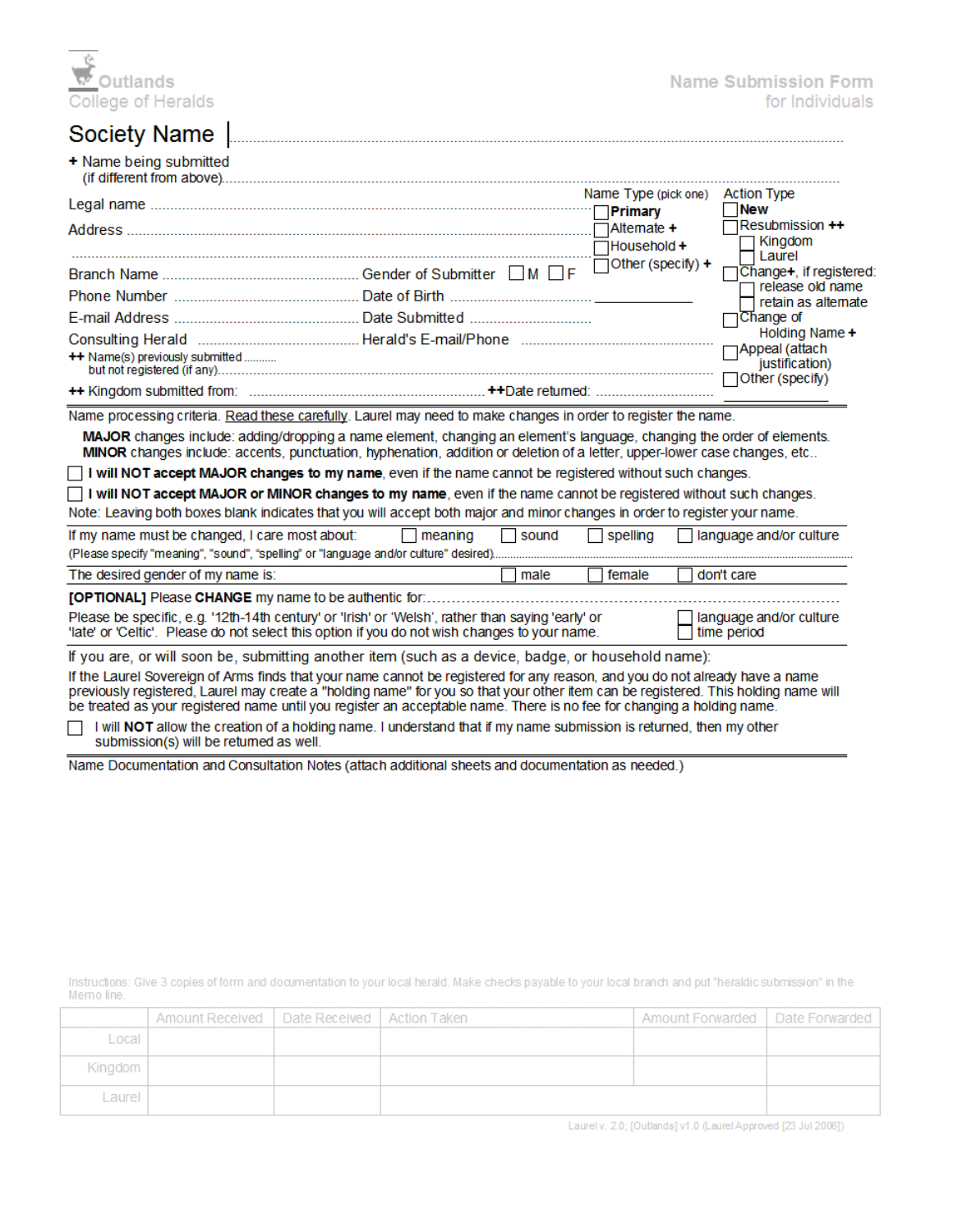

# Society Name

|                                 | Name Type (pick one) Action Type<br>$\Box$ Household + | New<br>$\Box$ Resubmission ++<br>$\Box$ Kingdom<br>$\Box$ Laurel                                                                                                         |
|---------------------------------|--------------------------------------------------------|--------------------------------------------------------------------------------------------------------------------------------------------------------------------------|
| ++ Name(s) previously submitted | $\overline{\Box}$ Other (specify) +                    | □Change+, if registered<br>release old name<br>$\sqcap$ retain as altemate<br>□Change of<br>Holding Name +<br>Appeal (attach<br>justification)<br>$\Box$ Other (specify) |

Name processing criteria. Read these carefully. Laurel may need to make changes in order to register the name.

MAJOR changes include: adding/dropping a name element, changing an element's language, changing the order of elements. MINOR changes include: accents, punctuation, hyphenation, addition or deletion of a letter, upper-lower case changes, etc..

I will NOT accept MAJOR changes to my name, even if the name cannot be registered without such changes.

 $\Box$  I will NOT accept MAJOR or MINOR changes to my name, even if the name cannot be registered without such changes. Note: Leaving both boxes blank indicates that you will accept both major and minor changes in order to register your name.

| If my name must be changed, I care most about:                                                                                                                                                                                              | meaning | <b>Sound</b> | spelling | language and/or culture |  |
|---------------------------------------------------------------------------------------------------------------------------------------------------------------------------------------------------------------------------------------------|---------|--------------|----------|-------------------------|--|
| (Please specify "meaning", "sound", "spelling" or "language and/or culture" desired)                                                                                                                                                        |         |              |          |                         |  |
| The desired gender of my name is:                                                                                                                                                                                                           |         | male         | female   | don't care              |  |
| <b>[OPTIONAL]</b> Please CHANGE my name to be authentic for:                                                                                                                                                                                |         |              |          |                         |  |
| anguage and/or culture<br>Please be specific, e.g. '12th-14th century' or 'Irish' or 'Welsh', rather than saying 'early' or<br>'late' or 'Celtic'. Please do not select this option if you do not wish changes to your name.<br>time period |         |              |          |                         |  |
| If you are or will soon be submitting another item (such as a device badge or bousebold name);                                                                                                                                              |         |              |          |                         |  |

if you are, or will soon be, submitting another item (such as a device, badge, or household name): If the Laurel Sovereign of Arms finds that your name cannot be registered for any reason, and you do not already have a name previously registered, Laurel may create a "holding name" for you so that your other item can be registered. This holding name will be treated as your registered name until you register an acceptable name. There is no fee for changing a holding name.

I will NOT allow the creation of a holding name. I understand that if my name submission is returned, then my other submission(s) will be returned as well.

Name Documentation and Consultation Notes (attach additional sheets and documentation as needed.)

Instructions: Give 3 copies of form and documentation to your local herald. Make checks payable to your local branch and put "heraldic submission" in the Memo line.

|         | Amount Received   Date Received   Action Taken |  | Amount Forwarded   Date Forwarded |  |
|---------|------------------------------------------------|--|-----------------------------------|--|
| Local   |                                                |  |                                   |  |
| Kingdom |                                                |  |                                   |  |
| Laurel  |                                                |  |                                   |  |

Laurel v. 2.0; [Outlands] v1.0 (Laurel Approved [23 Jul 2006])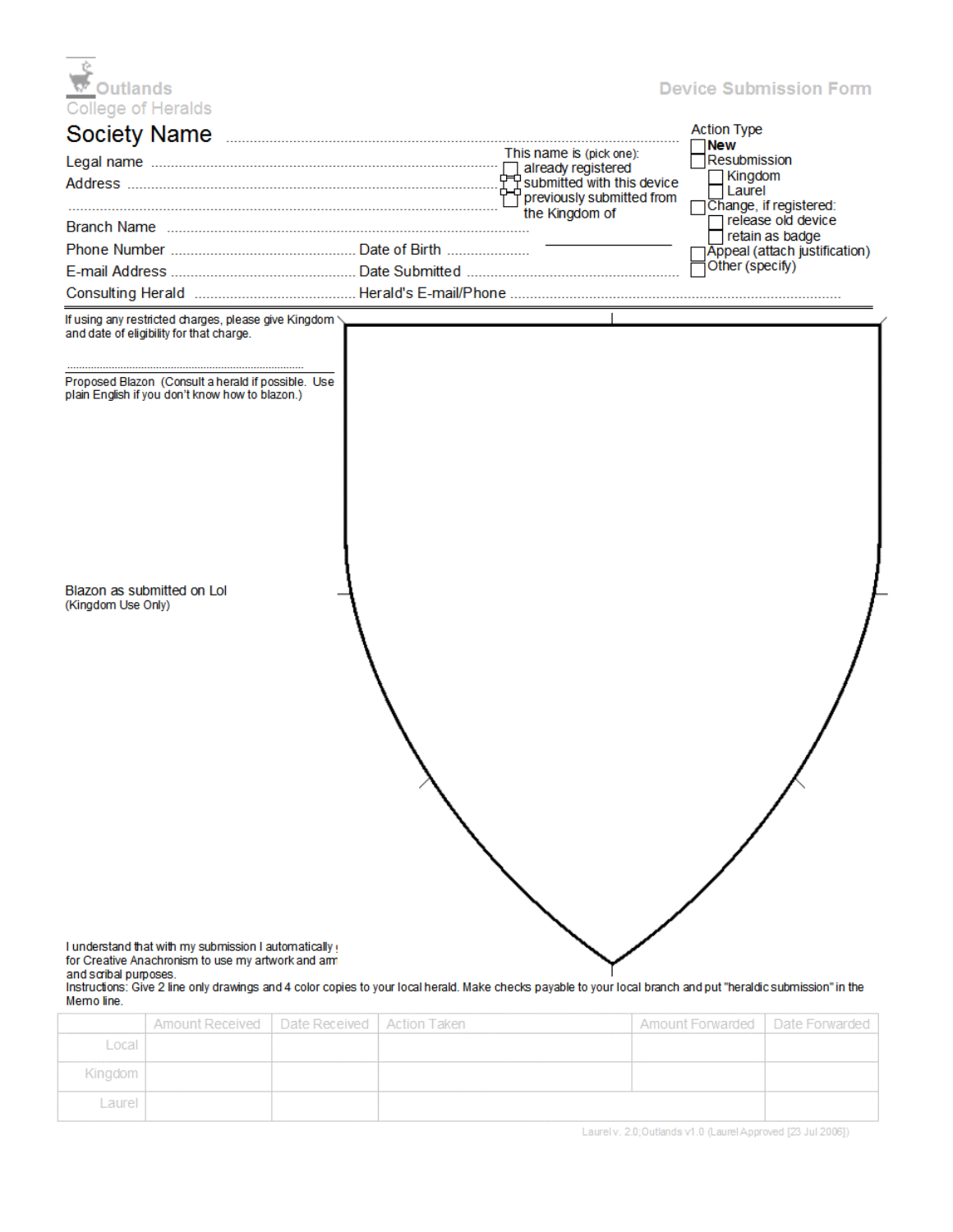| ক' Outlands |                    |
|-------------|--------------------|
|             | College of Heralds |
|             | Society Name       |

#### **Device Submission Form**

| Society Name                                                                                             |                           | <b>Action Type</b>                    |  |  |
|----------------------------------------------------------------------------------------------------------|---------------------------|---------------------------------------|--|--|
|                                                                                                          | This name is (pick one):  | <b>New</b><br><b>Resubmission</b>     |  |  |
|                                                                                                          |                           | Kingdom                               |  |  |
|                                                                                                          | previously submitted from | Laurel<br>Change, if registered:      |  |  |
|                                                                                                          | the Kingdom of            | release old device<br>retain as badge |  |  |
|                                                                                                          |                           | Appeal (attach justification)         |  |  |
|                                                                                                          |                           | Other (specify)                       |  |  |
|                                                                                                          |                           |                                       |  |  |
| If using any restricted charges, please give Kingdom<br>and date of eligibility for that charge.         |                           |                                       |  |  |
| Proposed Blazon (Consult a herald if possible. Use<br>plain English if you don't know how to blazon.)    |                           |                                       |  |  |
| Blazon as submitted on Lol<br>(Kingdom Use Only)<br>I understand that with my submission I automatically |                           |                                       |  |  |
| for Creative Anachronism to use my artwork and am<br>and scribal purposes.                               |                           |                                       |  |  |

Instructions: Give 2 line only drawings and 4 color copies to your local herald. Make checks payable to your local branch and put "heraldic submission" in the Memo line.

|         | Amount Received   Date Received   Action Taken |  | Amount Forwarded   Date Forwarded |  |
|---------|------------------------------------------------|--|-----------------------------------|--|
| Local   |                                                |  |                                   |  |
| Kingdom |                                                |  |                                   |  |
| Laurel  |                                                |  |                                   |  |

Laurely, 2.0;Outlands v1.0 (Laurel Approved [23 Jul 2006])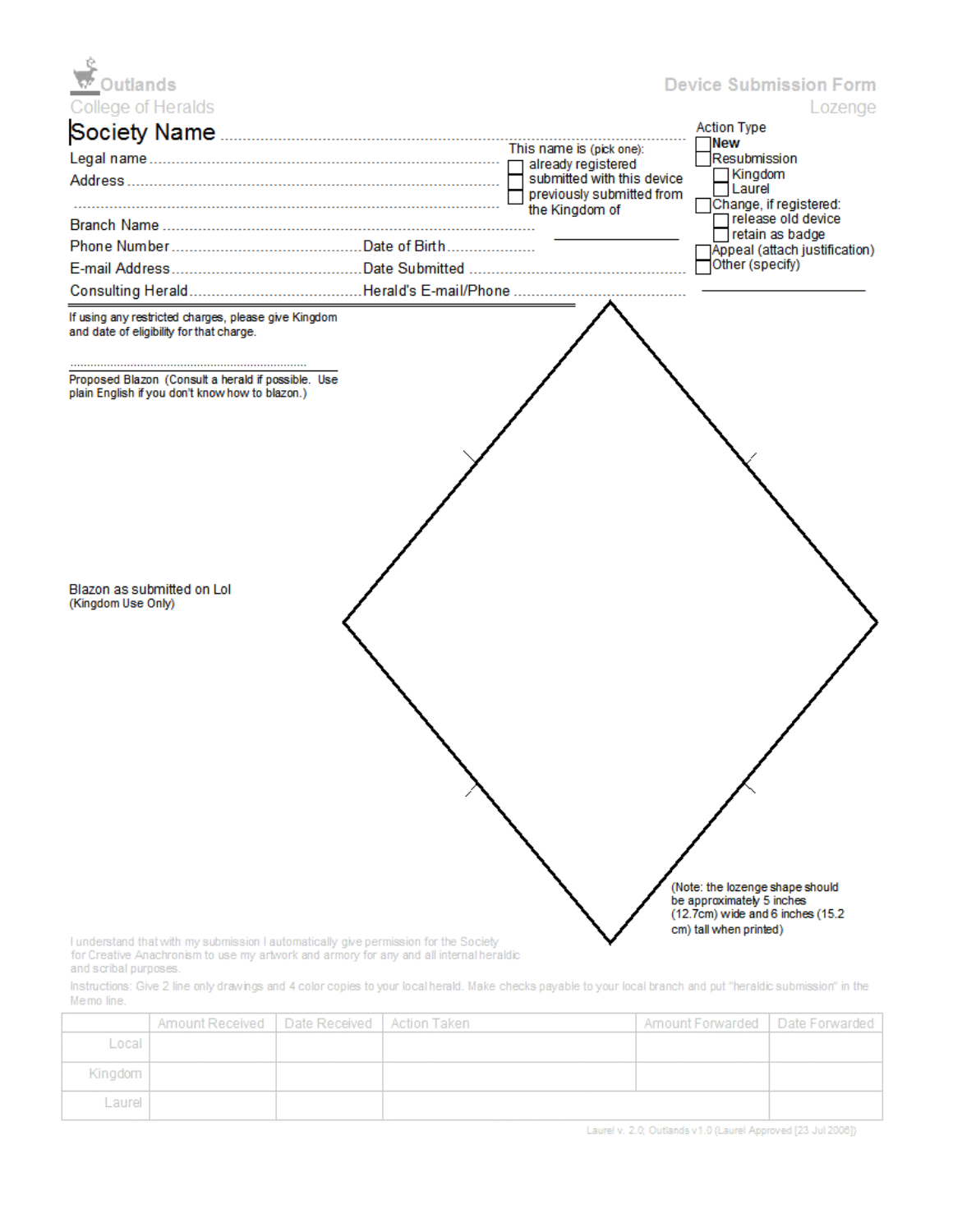| <b>v</b> Outlands                                                                                     |                                                         | <b>Device Submission Form</b>                                                            |
|-------------------------------------------------------------------------------------------------------|---------------------------------------------------------|------------------------------------------------------------------------------------------|
| College of Heralds                                                                                    |                                                         | Lozenge<br><b>Action Type</b>                                                            |
|                                                                                                       |                                                         | INew                                                                                     |
|                                                                                                       | already registered                                      | Resubmission<br>Kingdom                                                                  |
|                                                                                                       | submitted with this device<br>previously submitted from | Laurel<br>Change, if registered:                                                         |
|                                                                                                       | the Kingdom of                                          | release old device<br>retain as badge                                                    |
|                                                                                                       |                                                         | Appeal (attach justification)                                                            |
|                                                                                                       |                                                         | Other (specify)                                                                          |
|                                                                                                       |                                                         |                                                                                          |
| If using any restricted charges, please give Kingdom<br>and date of eligibility for that charge.      |                                                         |                                                                                          |
| Proposed Blazon (Consult a herald if possible. Use<br>plain English if you don't know how to blazon.) |                                                         |                                                                                          |
| Blazon as submitted on Lol<br>(Kingdom Use Only)                                                      |                                                         | (Note: the lozenge shape should                                                          |
| I understand that with my submission I automatically give permission for the Society                  |                                                         | be approximately 5 inches<br>(12.7cm) wide and 6 inches (15.2)<br>cm) tall when printed) |

I understand that with my submission I automatically give permission for the Society<br>for Creative Anachronism to use my artwork and armory for any and all internal heraldic and scribal purposes.

Instructions: Give 2 line only drawings and 4 color copies to your local herald. Make checks payable to your local branch and put "heraldic submission" in the Memo line.

|         | Amount Received   Date Received   Action Taken |  | Amount Forwarded   Date Forwarded |  |
|---------|------------------------------------------------|--|-----------------------------------|--|
| Local   |                                                |  |                                   |  |
| Kingdom |                                                |  |                                   |  |
| Laurel  |                                                |  |                                   |  |

Laurel v. 2.0; Outlands v1.0 (Laurel Approved [23 Jul 2006])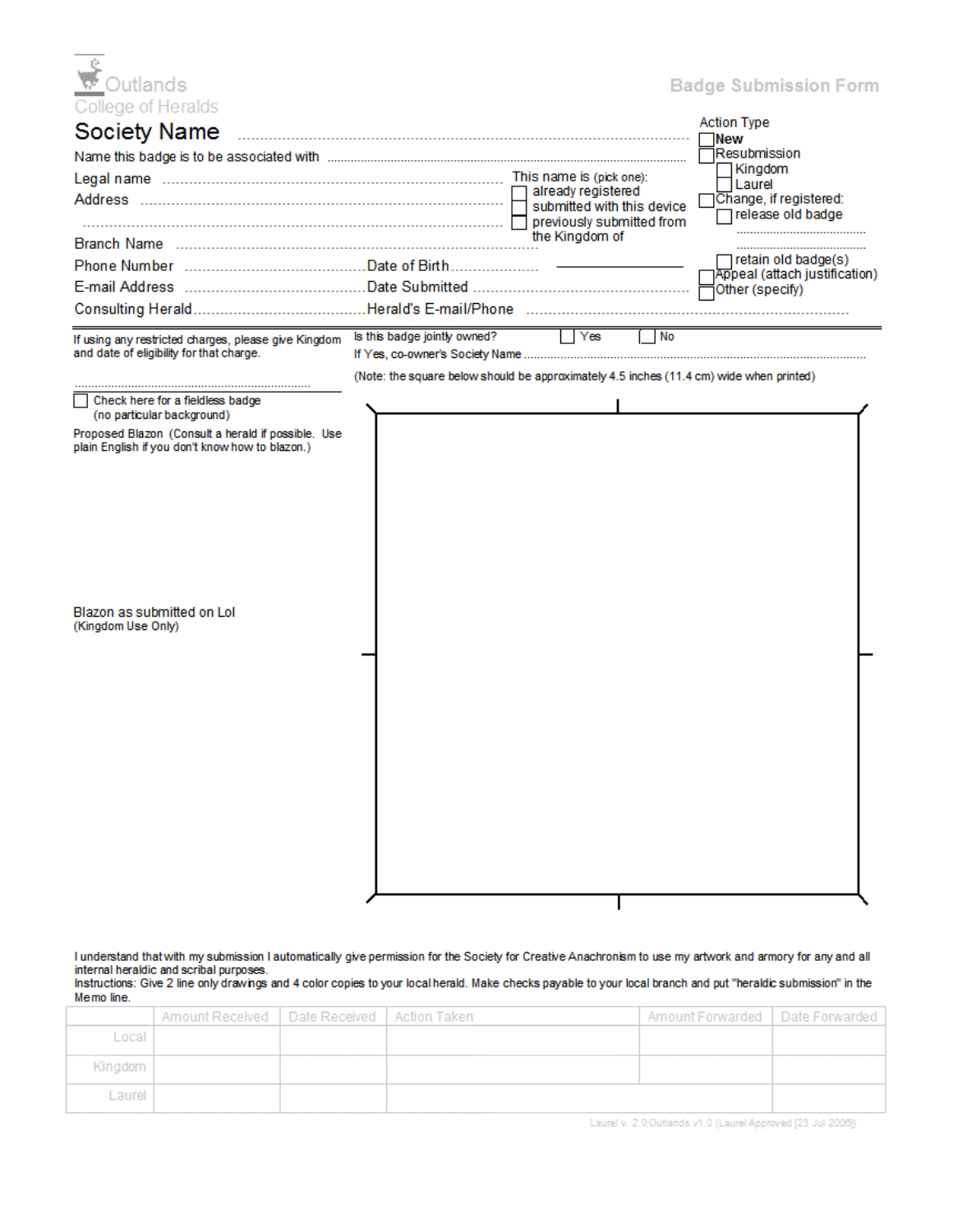| College of Heralds<br><b>Society Name</b>                                                             |                              |                                                                                         | <b>Action Type</b><br><b>New</b>                     |
|-------------------------------------------------------------------------------------------------------|------------------------------|-----------------------------------------------------------------------------------------|------------------------------------------------------|
|                                                                                                       |                              |                                                                                         | 1Resubmission<br>Kingdom                             |
|                                                                                                       |                              | already registered                                                                      | l Laurel                                             |
|                                                                                                       |                              | submitted with this device<br>previously submitted from                                 | Change, if registered:<br>□ release old badge        |
|                                                                                                       |                              | the Kingdom of                                                                          |                                                      |
|                                                                                                       |                              |                                                                                         | retain old badge(s)<br>Appeal (attach justification) |
|                                                                                                       |                              |                                                                                         | Other (specify)                                      |
|                                                                                                       |                              |                                                                                         |                                                      |
| If using any restricted charges, please give Kingdom<br>and date of eligibility for that charge.      | Is this badge jointly owned? | No<br>l lYes t                                                                          |                                                      |
|                                                                                                       |                              | (Note: the square below should be approximately 4.5 inches (11.4 cm) wide when printed) |                                                      |
| Check here for a fieldless badge                                                                      |                              |                                                                                         |                                                      |
| (no particular background)                                                                            |                              |                                                                                         |                                                      |
| Proposed Blazon (Consult a herald if possible, Use<br>plain English if you don't know how to blazon.) |                              |                                                                                         |                                                      |
|                                                                                                       |                              |                                                                                         |                                                      |
|                                                                                                       |                              |                                                                                         |                                                      |
|                                                                                                       |                              |                                                                                         |                                                      |
|                                                                                                       |                              |                                                                                         |                                                      |
|                                                                                                       |                              |                                                                                         |                                                      |
|                                                                                                       |                              |                                                                                         |                                                      |
|                                                                                                       |                              |                                                                                         |                                                      |
| Blazon as submitted on Lol<br>(Kingdom Use Only)                                                      |                              |                                                                                         |                                                      |
|                                                                                                       |                              |                                                                                         |                                                      |
|                                                                                                       |                              |                                                                                         |                                                      |
|                                                                                                       |                              |                                                                                         |                                                      |
|                                                                                                       |                              |                                                                                         |                                                      |
|                                                                                                       |                              |                                                                                         |                                                      |
|                                                                                                       |                              |                                                                                         |                                                      |
|                                                                                                       |                              |                                                                                         |                                                      |
|                                                                                                       |                              |                                                                                         |                                                      |
|                                                                                                       |                              |                                                                                         |                                                      |
|                                                                                                       |                              |                                                                                         |                                                      |
|                                                                                                       |                              |                                                                                         |                                                      |

I understand that with my submission I automatically give permission for the Society for Creative Anachronism to use my artwork and armory for any and all<br>internal heraldic and scribal purposes.<br>Instructions: Give 2 line o

Memo line.

|         | Amount Received   Date Received   Action Taken |  | Amount Forwarded   Date Forwarded |  |
|---------|------------------------------------------------|--|-----------------------------------|--|
| Local   |                                                |  |                                   |  |
| Kingdom |                                                |  |                                   |  |
| Laurel  |                                                |  |                                   |  |

Laurel v. 2.0;Outlands v1.0 (Laurel Approved [23 Jul 2006])